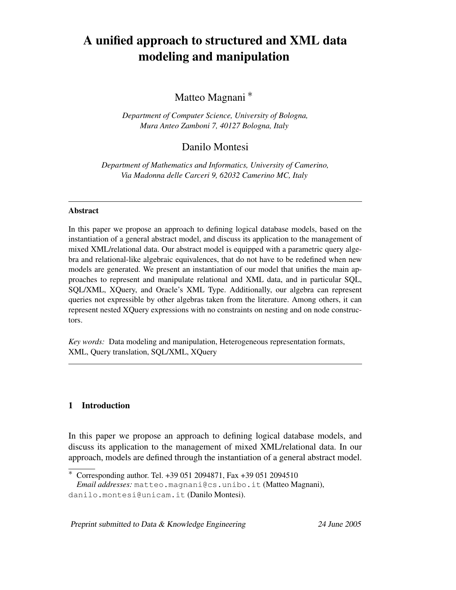# **A unified approach to structured and XML data modeling and manipulation**

# Matteo Magnani ∗

*Department of Computer Science, University of Bologna, Mura Anteo Zamboni 7, 40127 Bologna, Italy*

# Danilo Montesi

*Department of Mathematics and Informatics, University of Camerino, Via Madonna delle Carceri 9, 62032 Camerino MC, Italy*

#### **Abstract**

In this paper we propose an approach to defining logical database models, based on the instantiation of a general abstract model, and discuss its application to the management of mixed XML/relational data. Our abstract model is equipped with a parametric query algebra and relational-like algebraic equivalences, that do not have to be redefined when new models are generated. We present an instantiation of our model that unifies the main approaches to represent and manipulate relational and XML data, and in particular SQL, SQL/XML, XQuery, and Oracle's XML Type. Additionally, our algebra can represent queries not expressible by other algebras taken from the literature. Among others, it can represent nested XQuery expressions with no constraints on nesting and on node constructors.

*Key words:* Data modeling and manipulation, Heterogeneous representation formats, XML, Query translation, SQL/XML, XQuery

# **1 Introduction**

In this paper we propose an approach to defining logical database models, and discuss its application to the management of mixed XML/relational data. In our approach, models are defined through the instantiation of a general abstract model.

Preprint submitted to Data & Knowledge Engineering 24 June 2005

<sup>∗</sup> Corresponding author. Tel. +39 051 2094871, Fax +39 051 2094510 *Email addresses:* matteo.magnani@cs.unibo.it (Matteo Magnani),

danilo.montesi@unicam.it (Danilo Montesi).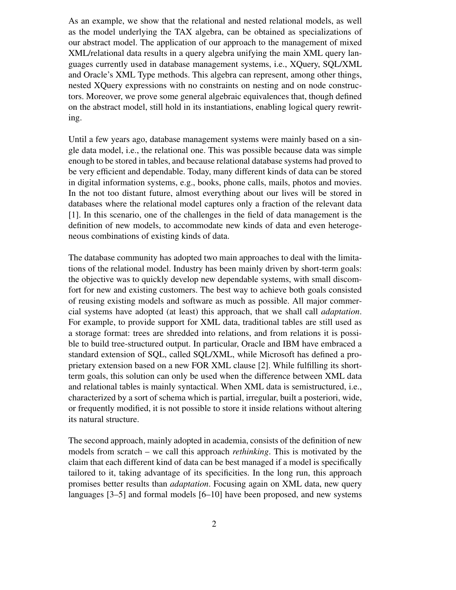As an example, we show that the relational and nested relational models, as well as the model underlying the TAX algebra, can be obtained as specializations of our abstract model. The application of our approach to the management of mixed XML/relational data results in a query algebra unifying the main XML query languages currently used in database management systems, i.e., XQuery, SQL/XML and Oracle's XML Type methods. This algebra can represent, among other things, nested XQuery expressions with no constraints on nesting and on node constructors. Moreover, we prove some general algebraic equivalences that, though defined on the abstract model, still hold in its instantiations, enabling logical query rewriting.

Until a few years ago, database management systems were mainly based on a single data model, i.e., the relational one. This was possible because data was simple enough to be stored in tables, and because relational database systems had proved to be very efficient and dependable. Today, many different kinds of data can be stored in digital information systems, e.g., books, phone calls, mails, photos and movies. In the not too distant future, almost everything about our lives will be stored in databases where the relational model captures only a fraction of the relevant data [1]. In this scenario, one of the challenges in the field of data management is the definition of new models, to accommodate new kinds of data and even heterogeneous combinations of existing kinds of data.

The database community has adopted two main approaches to deal with the limitations of the relational model. Industry has been mainly driven by short-term goals: the objective was to quickly develop new dependable systems, with small discomfort for new and existing customers. The best way to achieve both goals consisted of reusing existing models and software as much as possible. All major commercial systems have adopted (at least) this approach, that we shall call *adaptation*. For example, to provide support for XML data, traditional tables are still used as a storage format: trees are shredded into relations, and from relations it is possible to build tree-structured output. In particular, Oracle and IBM have embraced a standard extension of SQL, called SQL/XML, while Microsoft has defined a proprietary extension based on a new FOR XML clause [2]. While fulfilling its shortterm goals, this solution can only be used when the difference between XML data and relational tables is mainly syntactical. When XML data is semistructured, i.e., characterized by a sort of schema which is partial, irregular, built a posteriori, wide, or frequently modified, it is not possible to store it inside relations without altering its natural structure.

The second approach, mainly adopted in academia, consists of the definition of new models from scratch – we call this approach *rethinking*. This is motivated by the claim that each different kind of data can be best managed if a model is specifically tailored to it, taking advantage of its specificities. In the long run, this approach promises better results than *adaptation*. Focusing again on XML data, new query languages [3–5] and formal models [6–10] have been proposed, and new systems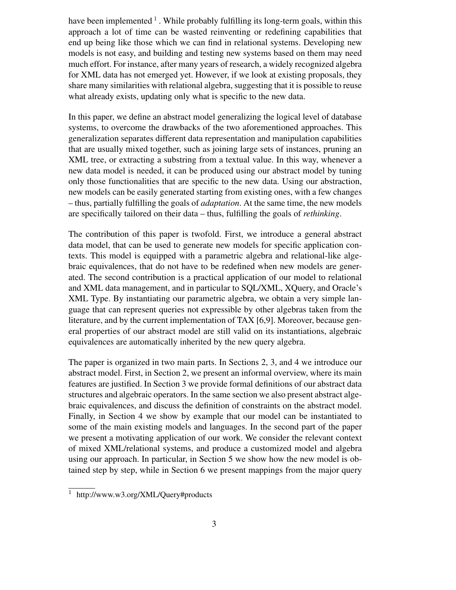have been implemented  $^1$  . While probably fulfilling its long-term goals, within this approach a lot of time can be wasted reinventing or redefining capabilities that end up being like those which we can find in relational systems. Developing new models is not easy, and building and testing new systems based on them may need much effort. For instance, after many years of research, a widely recognized algebra for XML data has not emerged yet. However, if we look at existing proposals, they share many similarities with relational algebra, suggesting that it is possible to reuse what already exists, updating only what is specific to the new data.

In this paper, we define an abstract model generalizing the logical level of database systems, to overcome the drawbacks of the two aforementioned approaches. This generalization separates different data representation and manipulation capabilities that are usually mixed together, such as joining large sets of instances, pruning an XML tree, or extracting a substring from a textual value. In this way, whenever a new data model is needed, it can be produced using our abstract model by tuning only those functionalities that are specific to the new data. Using our abstraction, new models can be easily generated starting from existing ones, with a few changes – thus, partially fulfilling the goals of *adaptation*. At the same time, the new models are specifically tailored on their data – thus, fulfilling the goals of *rethinking*.

The contribution of this paper is twofold. First, we introduce a general abstract data model, that can be used to generate new models for specific application contexts. This model is equipped with a parametric algebra and relational-like algebraic equivalences, that do not have to be redefined when new models are generated. The second contribution is a practical application of our model to relational and XML data management, and in particular to SQL/XML, XQuery, and Oracle's XML Type. By instantiating our parametric algebra, we obtain a very simple language that can represent queries not expressible by other algebras taken from the literature, and by the current implementation of TAX [6,9]. Moreover, because general properties of our abstract model are still valid on its instantiations, algebraic equivalences are automatically inherited by the new query algebra.

The paper is organized in two main parts. In Sections 2, 3, and 4 we introduce our abstract model. First, in Section 2, we present an informal overview, where its main features are justified. In Section 3 we provide formal definitions of our abstract data structures and algebraic operators. In the same section we also present abstract algebraic equivalences, and discuss the definition of constraints on the abstract model. Finally, in Section 4 we show by example that our model can be instantiated to some of the main existing models and languages. In the second part of the paper we present a motivating application of our work. We consider the relevant context of mixed XML/relational systems, and produce a customized model and algebra using our approach. In particular, in Section 5 we show how the new model is obtained step by step, while in Section 6 we present mappings from the major query

 $\frac{1}{1}$  http://www.w3.org/XML/Query#products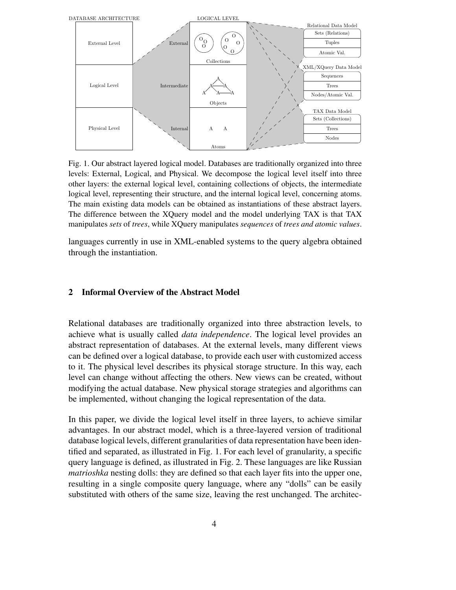

Fig. 1. Our abstract layered logical model. Databases are traditionally organized into three levels: External, Logical, and Physical. We decompose the logical level itself into three other layers: the external logical level, containing collections of objects, the intermediate logical level, representing their structure, and the internal logical level, concerning atoms. The main existing data models can be obtained as instantiations of these abstract layers. The difference between the XQuery model and the model underlying TAX is that TAX manipulates *sets* of *trees*, while XQuery manipulates *sequences* of *trees and atomic values*.

languages currently in use in XML-enabled systems to the query algebra obtained through the instantiation.

# **2 Informal Overview of the Abstract Model**

Relational databases are traditionally organized into three abstraction levels, to achieve what is usually called *data independence*. The logical level provides an abstract representation of databases. At the external levels, many different views can be defined over a logical database, to provide each user with customized access to it. The physical level describes its physical storage structure. In this way, each level can change without affecting the others. New views can be created, without modifying the actual database. New physical storage strategies and algorithms can be implemented, without changing the logical representation of the data.

In this paper, we divide the logical level itself in three layers, to achieve similar advantages. In our abstract model, which is a three-layered version of traditional database logical levels, different granularities of data representation have been identified and separated, as illustrated in Fig. 1. For each level of granularity, a specific query language is defined, as illustrated in Fig. 2. These languages are like Russian *matrioshka* nesting dolls: they are defined so that each layer fits into the upper one, resulting in a single composite query language, where any "dolls" can be easily substituted with others of the same size, leaving the rest unchanged. The architec-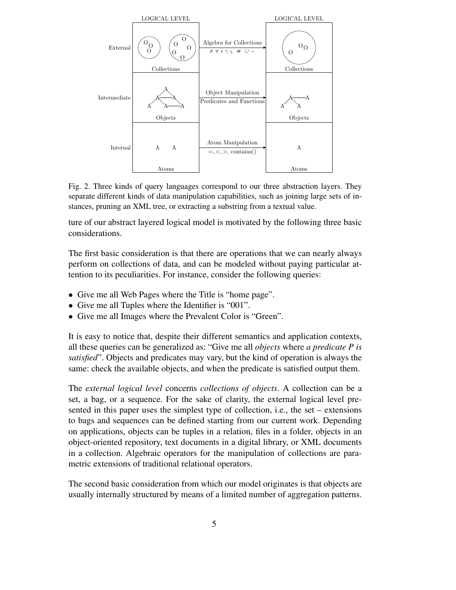

Fig. 2. Three kinds of query languages correspond to our three abstraction layers. They separate different kinds of data manipulation capabilities, such as joining large sets of instances, pruning an XML tree, or extracting a substring from a textual value.

ture of our abstract layered logical model is motivated by the following three basic considerations.

The first basic consideration is that there are operations that we can nearly always perform on collections of data, and can be modeled without paying particular attention to its peculiarities. For instance, consider the following queries:

- Give me all Web Pages where the Title is "home page".
- Give me all Tuples where the Identifier is "001".
- Give me all Images where the Prevalent Color is "Green".

It is easy to notice that, despite their different semantics and application contexts, all these queries can be generalized as: "Give me all *objects* where *a predicate P is satisfied*". Objects and predicates may vary, but the kind of operation is always the same: check the available objects, and when the predicate is satisfied output them.

The *external logical level* concerns *collections of objects*. A collection can be a set, a bag, or a sequence. For the sake of clarity, the external logical level presented in this paper uses the simplest type of collection, i.e., the set – extensions to bags and sequences can be defined starting from our current work. Depending on applications, objects can be tuples in a relation, files in a folder, objects in an object-oriented repository, text documents in a digital library, or XML documents in a collection. Algebraic operators for the manipulation of collections are parametric extensions of traditional relational operators.

The second basic consideration from which our model originates is that objects are usually internally structured by means of a limited number of aggregation patterns.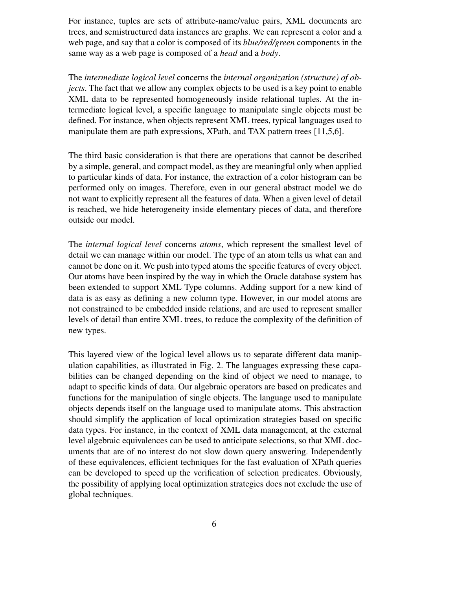For instance, tuples are sets of attribute-name/value pairs, XML documents are trees, and semistructured data instances are graphs. We can represent a color and a web page, and say that a color is composed of its *blue/red/green* components in the same way as a web page is composed of a *head* and a *body*.

The *intermediate logical level* concerns the *internal organization (structure) of objects*. The fact that we allow any complex objects to be used is a key point to enable XML data to be represented homogeneously inside relational tuples. At the intermediate logical level, a specific language to manipulate single objects must be defined. For instance, when objects represent XML trees, typical languages used to manipulate them are path expressions, XPath, and TAX pattern trees [11,5,6].

The third basic consideration is that there are operations that cannot be described by a simple, general, and compact model, as they are meaningful only when applied to particular kinds of data. For instance, the extraction of a color histogram can be performed only on images. Therefore, even in our general abstract model we do not want to explicitly represent all the features of data. When a given level of detail is reached, we hide heterogeneity inside elementary pieces of data, and therefore outside our model.

The *internal logical level* concerns *atoms*, which represent the smallest level of detail we can manage within our model. The type of an atom tells us what can and cannot be done on it. We push into typed atoms the specific features of every object. Our atoms have been inspired by the way in which the Oracle database system has been extended to support XML Type columns. Adding support for a new kind of data is as easy as defining a new column type. However, in our model atoms are not constrained to be embedded inside relations, and are used to represent smaller levels of detail than entire XML trees, to reduce the complexity of the definition of new types.

This layered view of the logical level allows us to separate different data manipulation capabilities, as illustrated in Fig. 2. The languages expressing these capabilities can be changed depending on the kind of object we need to manage, to adapt to specific kinds of data. Our algebraic operators are based on predicates and functions for the manipulation of single objects. The language used to manipulate objects depends itself on the language used to manipulate atoms. This abstraction should simplify the application of local optimization strategies based on specific data types. For instance, in the context of XML data management, at the external level algebraic equivalences can be used to anticipate selections, so that XML documents that are of no interest do not slow down query answering. Independently of these equivalences, efficient techniques for the fast evaluation of XPath queries can be developed to speed up the verification of selection predicates. Obviously, the possibility of applying local optimization strategies does not exclude the use of global techniques.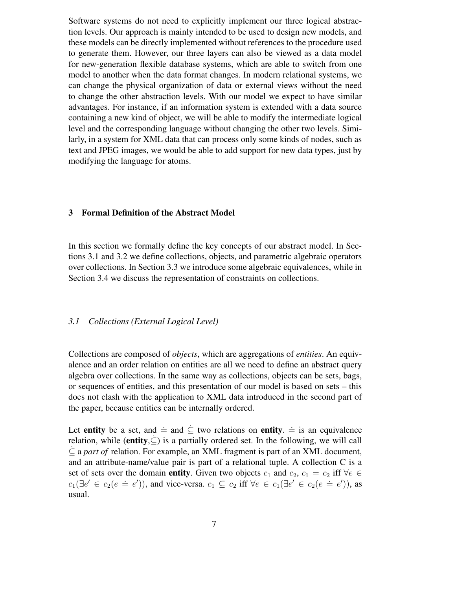Software systems do not need to explicitly implement our three logical abstraction levels. Our approach is mainly intended to be used to design new models, and these models can be directly implemented without references to the procedure used to generate them. However, our three layers can also be viewed as a data model for new-generation flexible database systems, which are able to switch from one model to another when the data format changes. In modern relational systems, we can change the physical organization of data or external views without the need to change the other abstraction levels. With our model we expect to have similar advantages. For instance, if an information system is extended with a data source containing a new kind of object, we will be able to modify the intermediate logical level and the corresponding language without changing the other two levels. Similarly, in a system for XML data that can process only some kinds of nodes, such as text and JPEG images, we would be able to add support for new data types, just by modifying the language for atoms.

#### **3 Formal Definition of the Abstract Model**

In this section we formally define the key concepts of our abstract model. In Sections 3.1 and 3.2 we define collections, objects, and parametric algebraic operators over collections. In Section 3.3 we introduce some algebraic equivalences, while in Section 3.4 we discuss the representation of constraints on collections.

#### *3.1 Collections (External Logical Level)*

Collections are composed of *objects*, which are aggregations of *entities*. An equivalence and an order relation on entities are all we need to define an abstract query algebra over collections. In the same way as collections, objects can be sets, bags, or sequences of entities, and this presentation of our model is based on sets – this does not clash with the application to XML data introduced in the second part of the paper, because entities can be internally ordered.

Let **entity** be a set, and  $\leq$  and  $\leq$  two relations on **entity**.  $\neq$  is an equivalence relation, while  $(\text{entity}, \subseteq)$  is a partially ordered set. In the following, we will call  $\subset$  a *part of* relation. For example, an XML fragment is part of an XML document, and an attribute-name/value pair is part of a relational tuple. A collection C is a set of sets over the domain **entity**. Given two objects  $c_1$  and  $c_2$ ,  $c_1 = c_2$  iff  $\forall e \in$  $c_1(\exists e' \in c_2(e \doteq e'))$ , and vice-versa.  $c_1 \subseteq c_2$  iff  $\forall e \in c_1(\exists e' \in c_2(e \doteq e'))$ , as usual.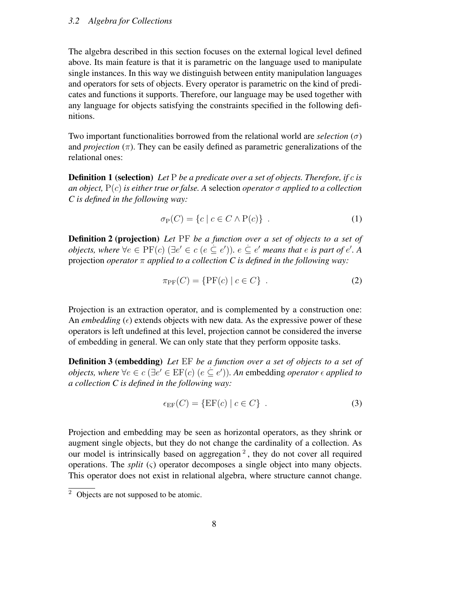The algebra described in this section focuses on the external logical level defined above. Its main feature is that it is parametric on the language used to manipulate single instances. In this way we distinguish between entity manipulation languages and operators for sets of objects. Every operator is parametric on the kind of predicates and functions it supports. Therefore, our language may be used together with any language for objects satisfying the constraints specified in the following definitions.

Two important functionalities borrowed from the relational world are *selection* (σ) and *projection*  $(\pi)$ . They can be easily defined as parametric generalizations of the relational ones:

**Definition 1 (selection)** *Let* P *be a predicate over a set of objects. Therefore, if* c *is an object,* P(c) *is either true or false. A* selection *operator* σ *applied to a collection C is defined in the following way:*

$$
\sigma_{\mathcal{P}}(C) = \{c \mid c \in C \land \mathcal{P}(c)\} . \tag{1}
$$

**Definition 2 (projection)** *Let* PF *be a function over a set of objects to a set of objects, where*  $\forall e \in \text{PF}(c) \ (\exists e' \in c \ (e \subseteq e'))$ *.*  $e \subseteq e'$  means that e is part of e'. A projection *operator* π *applied to a collection C is defined in the following way:*

$$
\pi_{\rm PF}(C) = \{ \rm PF(c) \mid c \in C \} \tag{2}
$$

Projection is an extraction operator, and is complemented by a construction one: An *embedding* ( $\epsilon$ ) extends objects with new data. As the expressive power of these operators is left undefined at this level, projection cannot be considered the inverse of embedding in general. We can only state that they perform opposite tasks.

**Definition 3 (embedding)** *Let* EF *be a function over a set of objects to a set of* .  $\textit{objects, where } \forall e \in c \ (\exists e' \in \text{EF}(c) \ (e \subseteq e')).$  *An* embedding *operator*  $\epsilon$  *applied to a collection C is defined in the following way:*

$$
\epsilon_{\rm EF}(C) = \{ \rm EF(c) \mid c \in C \} \tag{3}
$$

Projection and embedding may be seen as horizontal operators, as they shrink or augment single objects, but they do not change the cardinality of a collection. As our model is intrinsically based on aggregation<sup>2</sup>, they do not cover all required operations. The *split*  $(\varsigma)$  operator decomposes a single object into many objects. This operator does not exist in relational algebra, where structure cannot change.

<sup>2</sup> Objects are not supposed to be atomic.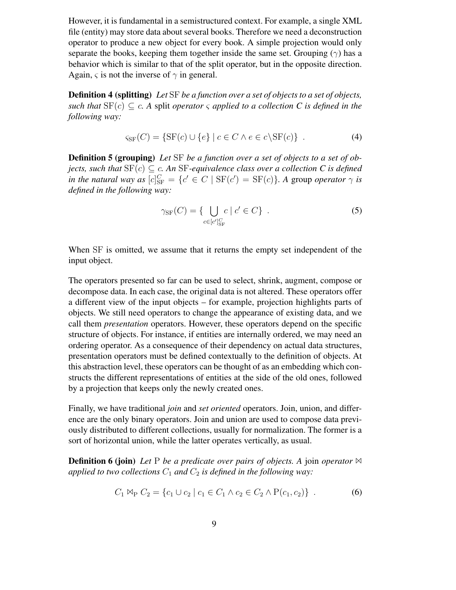However, it is fundamental in a semistructured context. For example, a single XML file (entity) may store data about several books. Therefore we need a deconstruction operator to produce a new object for every book. A simple projection would only separate the books, keeping them together inside the same set. Grouping ( $\gamma$ ) has a behavior which is similar to that of the split operator, but in the opposite direction. Again,  $\varsigma$  is not the inverse of  $\gamma$  in general.

**Definition 4 (splitting)** *Let* SF *be a function over a set of objects to a set of objects, such that*  $SF(c) \subseteq c$ *. A split operator*  $\varsigma$  *applied to a collection C is defined in the following way:*

$$
\varsigma_{\rm SF}(C) = \{ \mathrm{SF}(c) \cup \{e\} \mid c \in C \land e \in c \setminus \mathrm{SF}(c) \} . \tag{4}
$$

**Definition 5 (grouping)** *Let* SF *be a function over a set of objects to a set of objects, such that*  $SF(c) \subseteq c$ *. An*  $SF$ -*equivalence class over a collection C is defined in the natural way as*  $[c]_{SF}^C = \{c' \in C \mid SF(c') = SF(c)\}$ *. A group operator*  $\gamma$  *is defined in the following way:*

$$
\gamma_{\rm SF}(C) = \{ \bigcup_{c \in [c']_{\rm SF}^C} c \mid c' \in C \} . \tag{5}
$$

When SF is omitted, we assume that it returns the empty set independent of the input object.

The operators presented so far can be used to select, shrink, augment, compose or decompose data. In each case, the original data is not altered. These operators offer a different view of the input objects – for example, projection highlights parts of objects. We still need operators to change the appearance of existing data, and we call them *presentation* operators. However, these operators depend on the specific structure of objects. For instance, if entities are internally ordered, we may need an ordering operator. As a consequence of their dependency on actual data structures, presentation operators must be defined contextually to the definition of objects. At this abstraction level, these operators can be thought of as an embedding which constructs the different representations of entities at the side of the old ones, followed by a projection that keeps only the newly created ones.

Finally, we have traditional *join* and *set oriented* operators. Join, union, and difference are the only binary operators. Join and union are used to compose data previously distributed to different collections, usually for normalization. The former is a sort of horizontal union, while the latter operates vertically, as usual.

**Definition 6** (join) Let P be a predicate over pairs of objects. A join operator  $\bowtie$ applied *to two* collections  $C_1$  *and*  $C_2$  *is defined in the following way:* 

$$
C_1 \bowtie_{P} C_2 = \{c_1 \cup c_2 \mid c_1 \in C_1 \land c_2 \in C_2 \land P(c_1, c_2)\}.
$$
 (6)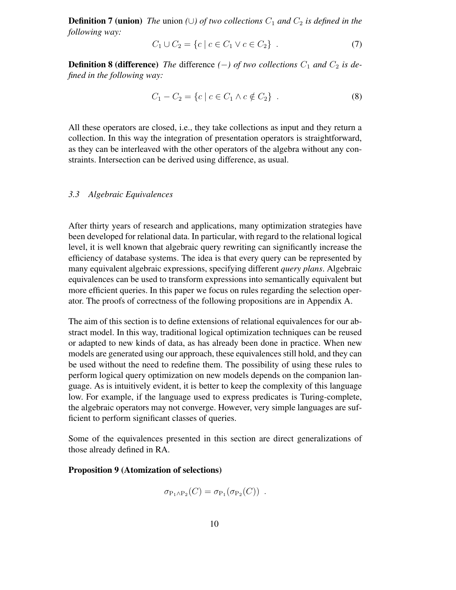**Definition 7 (union)** The union ( $\cup$ ) of two collections  $C_1$  and  $C_2$  is defined in the *following way:*

$$
C_1 \cup C_2 = \{c \mid c \in C_1 \lor c \in C_2\} . \tag{7}
$$

**Definition 8 (difference)** The difference  $(-)$  *of two collections*  $C_1$  *and*  $C_2$  *is defined in the following way:*

$$
C_1 - C_2 = \{c \mid c \in C_1 \land c \notin C_2\} .
$$
 (8)

All these operators are closed, i.e., they take collections as input and they return a collection. In this way the integration of presentation operators is straightforward, as they can be interleaved with the other operators of the algebra without any constraints. Intersection can be derived using difference, as usual.

# *3.3 Algebraic Equivalences*

After thirty years of research and applications, many optimization strategies have been developed for relational data. In particular, with regard to the relational logical level, it is well known that algebraic query rewriting can significantly increase the efficiency of database systems. The idea is that every query can be represented by many equivalent algebraic expressions, specifying different *query plans*. Algebraic equivalences can be used to transform expressions into semantically equivalent but more efficient queries. In this paper we focus on rules regarding the selection operator. The proofs of correctness of the following propositions are in Appendix A.

The aim of this section is to define extensions of relational equivalences for our abstract model. In this way, traditional logical optimization techniques can be reused or adapted to new kinds of data, as has already been done in practice. When new models are generated using our approach, these equivalences still hold, and they can be used without the need to redefine them. The possibility of using these rules to perform logical query optimization on new models depends on the companion language. As is intuitively evident, it is better to keep the complexity of this language low. For example, if the language used to express predicates is Turing-complete, the algebraic operators may not converge. However, very simple languages are sufficient to perform significant classes of queries.

Some of the equivalences presented in this section are direct generalizations of those already defined in RA.

#### **Proposition 9 (Atomization of selections)**

$$
\sigma_{P_1 \wedge P_2}(C) = \sigma_{P_1}(\sigma_{P_2}(C)) \ .
$$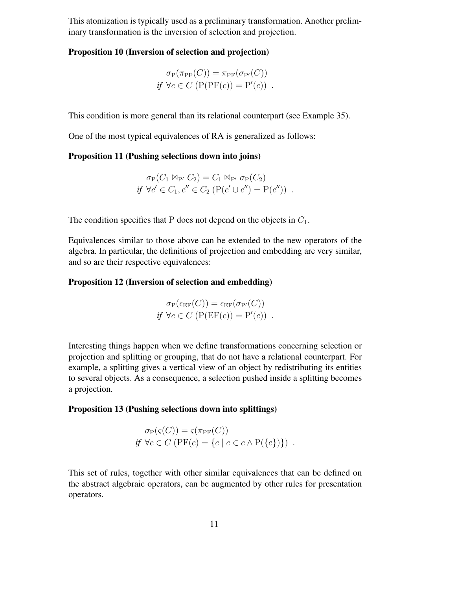This atomization is typically used as a preliminary transformation. Another preliminary transformation is the inversion of selection and projection.

### **Proposition 10 (Inversion of selection and projection)**

$$
\sigma_{\rm P}(\pi_{\rm PF}(C)) = \pi_{\rm PF}(\sigma_{\rm P'}(C))
$$
  
if  $\forall c \in C$  (P(PF(c)) = P'(c)) .

This condition is more general than its relational counterpart (see Example 35).

One of the most typical equivalences of RA is generalized as follows:

# **Proposition 11 (Pushing selections down into joins)**

$$
\sigma_{P}(C_1 \bowtie_{P'} C_2) = C_1 \bowtie_{P'} \sigma_{P}(C_2)
$$
  
if  $\forall c' \in C_1, c'' \in C_2 (P(c' \cup c'') = P(c''))$ .

The condition specifies that P does not depend on the objects in  $C_1$ .

Equivalences similar to those above can be extended to the new operators of the algebra. In particular, the definitions of projection and embedding are very similar, and so are their respective equivalences:

#### **Proposition 12 (Inversion of selection and embedding)**

$$
\sigma_{\rm P}(\epsilon_{\rm EF}(C)) = \epsilon_{\rm EF}(\sigma_{\rm P'}(C))
$$
  
if  $\forall c \in C$  (P(EF(c)) = P'(c)) .

Interesting things happen when we define transformations concerning selection or projection and splitting or grouping, that do not have a relational counterpart. For example, a splitting gives a vertical view of an object by redistributing its entities to several objects. As a consequence, a selection pushed inside a splitting becomes a projection.

#### **Proposition 13 (Pushing selections down into splittings)**

$$
\sigma_{\mathcal{P}}(\varsigma(C)) = \varsigma(\pi_{\mathcal{P}\mathcal{F}}(C))
$$
  
if  $\forall c \in C$  (PF(c) = {e | e \in c \land P({e})}) .

This set of rules, together with other similar equivalences that can be defined on the abstract algebraic operators, can be augmented by other rules for presentation operators.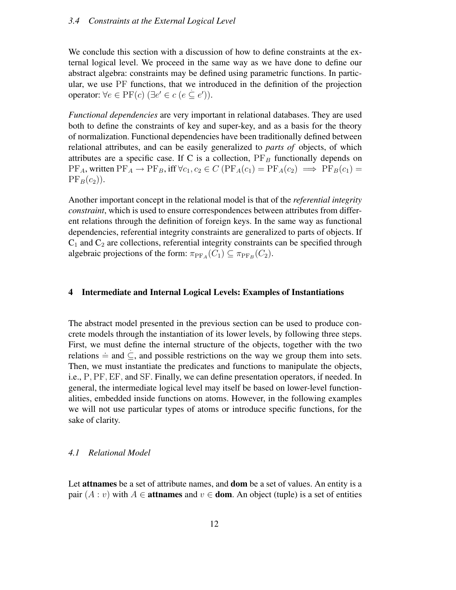We conclude this section with a discussion of how to define constraints at the external logical level. We proceed in the same way as we have done to define our abstract algebra: constraints may be defined using parametric functions. In particular, we use PF functions, that we introduced in the definition of the projection operator:  $\forall e \in \text{PF}(c) \ (\exists e' \in c \ (e \subseteq e')).$ 

*Functional dependencies* are very important in relational databases. They are used both to define the constraints of key and super-key, and as a basis for the theory of normalization. Functional dependencies have been traditionally defined between relational attributes, and can be easily generalized to *parts of* objects, of which attributes are a specific case. If C is a collection,  $PF_B$  functionally depends on  $PF_A$ , written  $PF_A \rightarrow PF_B$ , iff  $\forall c_1, c_2 \in C$   $(PF_A(c_1) = PF_A(c_2) \implies PF_B(c_1) =$  $PF_B(c_2)$ .

Another important concept in the relational model is that of the *referential integrity constraint*, which is used to ensure correspondences between attributes from different relations through the definition of foreign keys. In the same way as functional dependencies, referential integrity constraints are generalized to parts of objects. If  $C_1$  and  $C_2$  are collections, referential integrity constraints can be specified through algebraic projections of the form:  $\pi_{\text{PF}_A}(C_1) \subseteq \pi_{\text{PF}_B}(C_2)$ .

#### **4 Intermediate and Internal Logical Levels: Examples of Instantiations**

The abstract model presented in the previous section can be used to produce concrete models through the instantiation of its lower levels, by following three steps. First, we must define the internal structure of the objects, together with the two . relations  $\dot{=}$  and  $\dot{\subseteq}$ , and possible restrictions on the way we group them into sets. Then, we must instantiate the predicates and functions to manipulate the objects, i.e., P,PF,EF, and SF. Finally, we can define presentation operators, if needed. In general, the intermediate logical level may itself be based on lower-level functionalities, embedded inside functions on atoms. However, in the following examples we will not use particular types of atoms or introduce specific functions, for the sake of clarity.

#### *4.1 Relational Model*

Let **attnames** be a set of attribute names, and **dom** be a set of values. An entity is a pair  $(A : v)$  with  $A \in$  **attnames** and  $v \in$  **dom**. An object (tuple) is a set of entities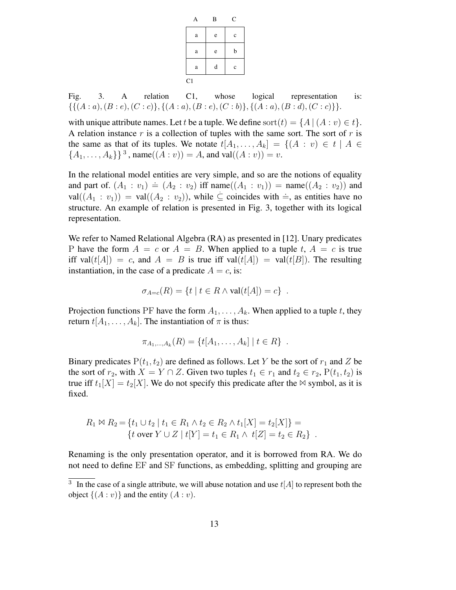| A              | B | C           |
|----------------|---|-------------|
| a              | e | $\mathbf c$ |
| a              | e | b           |
| a              | d | $\mathbf c$ |
| C <sub>1</sub> |   |             |

Fig. 3. A relation C1, whose logical representation is:  $\{\{(A : a), (B : e), (C : c)\}, \{(A : a), (B : e), (C : b)\}, \{(A : a), (B : d), (C : c)\}\}.$ 

with unique attribute names. Let t be a tuple. We define sort  $(t) = \{A \mid (A : v) \in t\}.$ A relation instance  $r$  is a collection of tuples with the same sort. The sort of  $r$  is the same as that of its tuples. We notate  $t[A_1, \ldots, A_k] = \{(A : v) \in t \mid A \in$  $\{A_1, \ldots, A_k\}\}^3$ , name $((A : v)) = A$ , and val $((A : v)) = v$ .

In the relational model entities are very simple, and so are the notions of equality and part of.  $(A_1 : v_1) = (A_2 : v_2)$  iff  $name((A_1 : v_1)) = name((A_2 : v_2))$  and val $((A_1 : v_1)) = \text{val}((A_2 : v_2))$ , while  $\subseteq$  coincides with  $\Rightarrow$ , as entities have no structure. An example of relation is presented in Fig. 3, together with its logical representation.

We refer to Named Relational Algebra (RA) as presented in [12]. Unary predicates P have the form  $A = c$  or  $A = B$ . When applied to a tuple t,  $A = c$  is true iff val $(t[A]) = c$ , and  $A = B$  is true iff val $(t[A]) = \text{val}(t[B])$ . The resulting instantiation, in the case of a predicate  $A = c$ , is:

$$
\sigma_{A=c}(R) = \{t \mid t \in R \land \text{val}(t[A]) = c\} .
$$

Projection functions PF have the form  $A_1, \ldots, A_k$ . When applied to a tuple t, they return  $t[A_1, \ldots, A_k]$ . The instantiation of  $\pi$  is thus:

$$
\pi_{A_1,\dots,A_k}(R) = \{t[A_1,\dots,A_k] \mid t \in R\} .
$$

Binary predicates  $P(t_1, t_2)$  are defined as follows. Let Y be the sort of  $r_1$  and Z be the sort of  $r_2$ , with  $X = Y \cap Z$ . Given two tuples  $t_1 \in r_1$  and  $t_2 \in r_2$ ,  $P(t_1, t_2)$  is true iff  $t_1[X] = t_2[X]$ . We do not specify this predicate after the  $\bowtie$  symbol, as it is fixed.

$$
R_1 \bowtie R_2 = \{ t_1 \cup t_2 \mid t_1 \in R_1 \land t_2 \in R_2 \land t_1[X] = t_2[X] \} = \{ t \text{ over } Y \cup Z \mid t[Y] = t_1 \in R_1 \land t[Z] = t_2 \in R_2 \} .
$$

Renaming is the only presentation operator, and it is borrowed from RA. We do not need to define EF and SF functions, as embedding, splitting and grouping are

<sup>&</sup>lt;sup>3</sup> In the case of a single attribute, we will abuse notation and use  $t[A]$  to represent both the object  $\{(A : v)\}\$ and the entity  $(A : v)$ .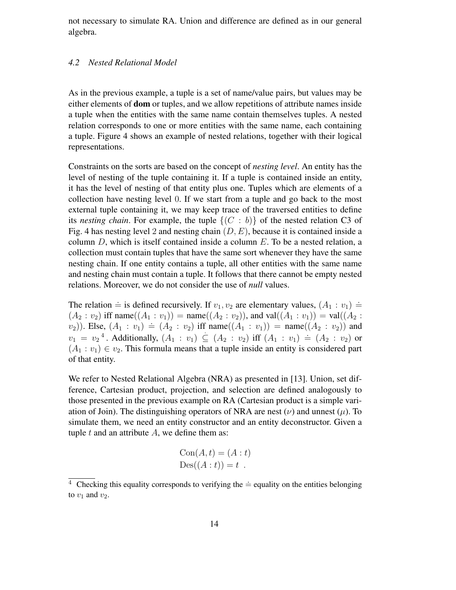not necessary to simulate RA. Union and difference are defined as in our general algebra.

## *4.2 Nested Relational Model*

As in the previous example, a tuple is a set of name/value pairs, but values may be either elements of **dom** or tuples, and we allow repetitions of attribute names inside a tuple when the entities with the same name contain themselves tuples. A nested relation corresponds to one or more entities with the same name, each containing a tuple. Figure 4 shows an example of nested relations, together with their logical representations.

Constraints on the sorts are based on the concept of *nesting level*. An entity has the level of nesting of the tuple containing it. If a tuple is contained inside an entity, it has the level of nesting of that entity plus one. Tuples which are elements of a collection have nesting level 0. If we start from a tuple and go back to the most external tuple containing it, we may keep trace of the traversed entities to define its *nesting chain*. For example, the tuple  $\{(C : b)\}\$  of the nested relation C3 of Fig. 4 has nesting level 2 and nesting chain  $(D, E)$ , because it is contained inside a column  $D$ , which is itself contained inside a column  $E$ . To be a nested relation, a collection must contain tuples that have the same sort whenever they have the same nesting chain. If one entity contains a tuple, all other entities with the same name and nesting chain must contain a tuple. It follows that there cannot be empty nested relations. Moreover, we do not consider the use of *null* values.

The relation  $\dot{=}$  is defined recursively. If  $v_1, v_2$  are elementary values,  $(A_1 : v_1) \doteq$  $(A_2 : v_2)$  iff name $((A_1 : v_1))$  = name $((A_2 : v_2))$ , and val $((A_1 : v_1))$  = val $((A_2 : v_2))$  $(v_2 \cdot v_2)$ . Else,  $(A_1 : v_1) = (A_2 : v_2)$  iff name $((A_1 : v_1)) =$  name $((A_2 : v_2))$  and  $(v_2)$ ).  $v_1 = v_2^4$ . Additionally,  $(A_1 : v_1) \subseteq (A_2 : v_2)$  iff  $(A_1 : v_1) = (A_2 : v_2)$  or  $(A_1 : v_1) \in v_2$ . This formula means that a tuple inside an entity is considered part of that entity.

We refer to Nested Relational Algebra (NRA) as presented in [13]. Union, set difference, Cartesian product, projection, and selection are defined analogously to those presented in the previous example on RA (Cartesian product is a simple variation of Join). The distinguishing operators of NRA are nest  $(\nu)$  and unnest  $(\mu)$ . To simulate them, we need an entity constructor and an entity deconstructor. Given a tuple  $t$  and an attribute  $A$ , we define them as:

$$
Con(A, t) = (A : t)
$$

$$
Des((A : t)) = t.
$$

<sup>&</sup>lt;sup>4</sup> Checking this equality corresponds to verifying the  $\dot{=}$  equality on the entities belonging to  $v_1$  and  $v_2$ .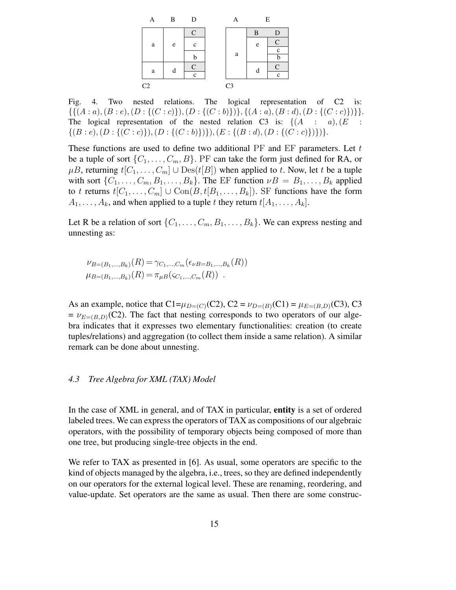

Fig. 4. Two nested relations. The logical representation of C2 is:  $\{\{(A : a), (B : e), (D : \{(C : c)\}), (D : \{(C : b)\})\}, \{(A : a), (B : d), (D : \{(C : c)\})\}\}.$ The logical representation of the nested relation C3 is:  $\{(A : a), (E : a)\}$  $\{(B : e), (D : \{(C : c)\}), (D : \{(C : b)\})\}, (E : \{(B : d), (D : \{(C : c)\})\})$ .

These functions are used to define two additional  $PF$  and  $EF$  parameters. Let  $t$ be a tuple of sort  $\{C_1, \ldots, C_m, B\}$ . PF can take the form just defined for RA, or  $\mu B$ , returning  $t[C_1, \ldots, C_m] \cup \text{Des}(t[B])$  when applied to t. Now, let t be a tuple with sort  $\{C_1, \ldots, C_m, B_1, \ldots, B_k\}$ . The EF function  $\nu B = B_1, \ldots, B_k$  applied to t returns  $t[C_1, \ldots, C_m] \cup \text{Con}(B, t[B_1, \ldots, B_k])$ . SF functions have the form  $A_1, \ldots, A_k$ , and when applied to a tuple t they return  $t[A_1, \ldots, A_k]$ .

Let R be a relation of sort  $\{C_1, \ldots, C_m, B_1, \ldots, B_k\}$ . We can express nesting and unnesting as:

$$
\nu_{B=(B_1,\ldots,B_k)}(R) = \gamma_{C_1,\ldots,C_m}(\epsilon_{\nu B=B_1,\ldots,B_k}(R))
$$
  
\n
$$
\mu_{B=(B_1,\ldots,B_k)}(R) = \pi_{\mu B}(\varsigma_{C_1,\ldots,C_m}(R))
$$
.

As an example, notice that  $Cl = \mu_{D=(C)}(C2)$ ,  $C2 = \nu_{D=(B)}(C1) = \mu_{E=(B,D)}(C3)$ , C3  $= \nu_{E=(B,D)}(C_2)$ . The fact that nesting corresponds to two operators of our algebra indicates that it expresses two elementary functionalities: creation (to create tuples/relations) and aggregation (to collect them inside a same relation). A similar remark can be done about unnesting.

#### *4.3 Tree Algebra for XML (TAX) Model*

In the case of XML in general, and of TAX in particular, **entity** is a set of ordered labeled trees. We can express the operators of TAX as compositions of our algebraic operators, with the possibility of temporary objects being composed of more than one tree, but producing single-tree objects in the end.

We refer to TAX as presented in [6]. As usual, some operators are specific to the kind of objects managed by the algebra, i.e., trees, so they are defined independently on our operators for the external logical level. These are renaming, reordering, and value-update. Set operators are the same as usual. Then there are some construc-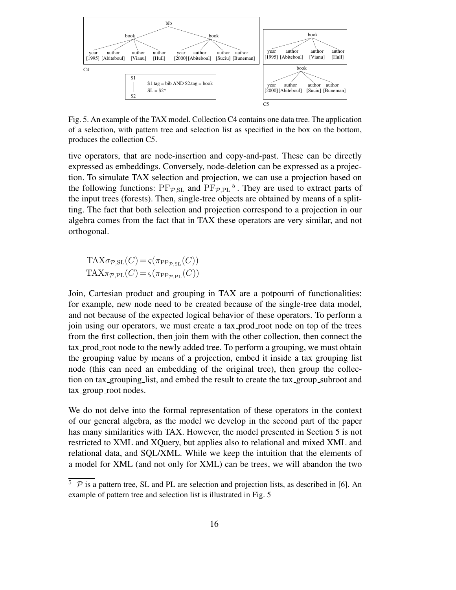

Fig. 5. An example of the TAX model. Collection C4 contains one data tree. The application of a selection, with pattern tree and selection list as specified in the box on the bottom, produces the collection C5.

tive operators, that are node-insertion and copy-and-past. These can be directly expressed as embeddings. Conversely, node-deletion can be expressed as a projection. To simulate TAX selection and projection, we can use a projection based on the following functions:  $PF_{\mathcal{P},\text{SL}}$  and  $PF_{\mathcal{P},\text{PL}}$ <sup>5</sup>. They are used to extract parts of the input trees (forests). Then, single-tree objects are obtained by means of a splitting. The fact that both selection and projection correspond to a projection in our algebra comes from the fact that in TAX these operators are very similar, and not orthogonal.

$$
TAX \sigma_{\mathcal{P},\mathsf{SL}}(C) = \varsigma(\pi_{\mathsf{PF}_{\mathcal{P},\mathsf{SL}}}(C))
$$
  

$$
TAX \pi_{\mathcal{P},\mathsf{PL}}(C) = \varsigma(\pi_{\mathsf{PF}_{\mathcal{P},\mathsf{PL}}}(C))
$$

Join, Cartesian product and grouping in TAX are a potpourri of functionalities: for example, new node need to be created because of the single-tree data model, and not because of the expected logical behavior of these operators. To perform a join using our operators, we must create a tax\_prod\_root node on top of the trees from the first collection, then join them with the other collection, then connect the tax prod root node to the newly added tree. To perform a grouping, we must obtain the grouping value by means of a projection, embed it inside a tax grouping list node (this can need an embedding of the original tree), then group the collection on tax grouping list, and embed the result to create the tax group subroot and tax group root nodes.

We do not delve into the formal representation of these operators in the context of our general algebra, as the model we develop in the second part of the paper has many similarities with TAX. However, the model presented in Section 5 is not restricted to XML and XQuery, but applies also to relational and mixed XML and relational data, and SQL/XML. While we keep the intuition that the elements of a model for XML (and not only for XML) can be trees, we will abandon the two

 $5\text{ }$  P is a pattern tree, SL and PL are selection and projection lists, as described in [6]. An example of pattern tree and selection list is illustrated in Fig. 5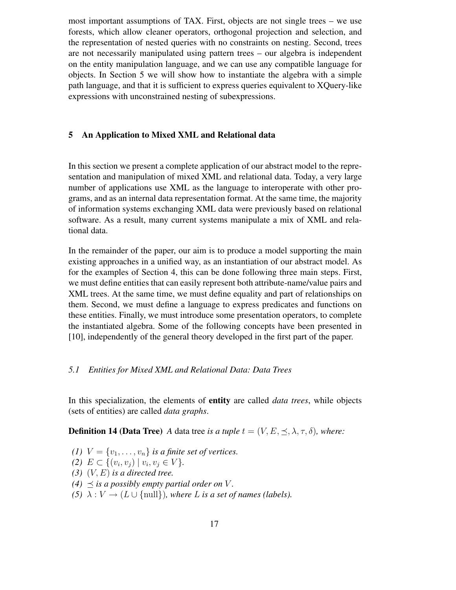most important assumptions of TAX. First, objects are not single trees – we use forests, which allow cleaner operators, orthogonal projection and selection, and the representation of nested queries with no constraints on nesting. Second, trees are not necessarily manipulated using pattern trees – our algebra is independent on the entity manipulation language, and we can use any compatible language for objects. In Section 5 we will show how to instantiate the algebra with a simple path language, and that it is sufficient to express queries equivalent to XQuery-like expressions with unconstrained nesting of subexpressions.

# **5 An Application to Mixed XML and Relational data**

In this section we present a complete application of our abstract model to the representation and manipulation of mixed XML and relational data. Today, a very large number of applications use XML as the language to interoperate with other programs, and as an internal data representation format. At the same time, the majority of information systems exchanging XML data were previously based on relational software. As a result, many current systems manipulate a mix of XML and relational data.

In the remainder of the paper, our aim is to produce a model supporting the main existing approaches in a unified way, as an instantiation of our abstract model. As for the examples of Section 4, this can be done following three main steps. First, we must define entities that can easily represent both attribute-name/value pairs and XML trees. At the same time, we must define equality and part of relationships on them. Second, we must define a language to express predicates and functions on these entities. Finally, we must introduce some presentation operators, to complete the instantiated algebra. Some of the following concepts have been presented in [10], independently of the general theory developed in the first part of the paper.

## *5.1 Entities for Mixed XML and Relational Data: Data Trees*

In this specialization, the elements of **entity** are called *data trees*, while objects (sets of entities) are called *data graphs*.

**Definition 14 (Data Tree)** A data tree *is a tuple*  $t = (V, E, \leq, \lambda, \tau, \delta)$ *, where:* 

- *(1)*  $V = \{v_1, \ldots, v_n\}$  *is a finite set of vertices.*
- $(2) E \subset \{(v_i, v_j) | v_i, v_j \in V\}.$
- *(3)* (V, E) *is a directed tree.*
- $(4)$   $\prec$  *is a possibly empty partial order on V*.
- *(5)*  $\lambda: V \to (L \cup \{\text{null}\})$ *, where L is a set of names (labels).*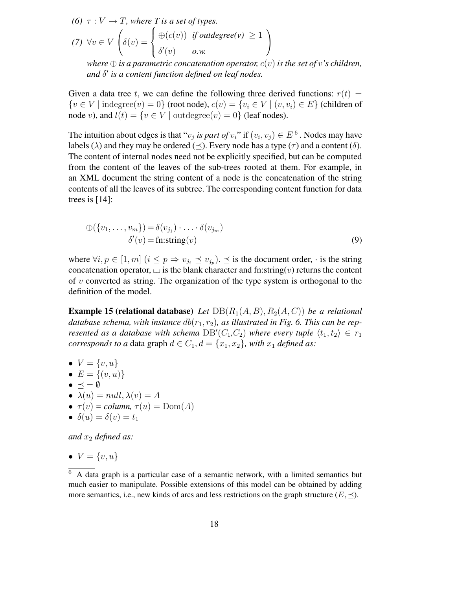(6) 
$$
\tau : V \to T
$$
, where *T* is a set of types.  
\n(7)  $\forall v \in V \begin{pmatrix} \delta(v) = \begin{cases} \bigoplus(c(v)) & \text{if outdegree}(v) \geq 1 \\ \delta'(v) & \text{o.w.} \end{cases}$ 

*where*  $\oplus$  *is a parametric concatenation operator,*  $c(v)$  *is the set of v*'s *children, and* δ 0 *is a content function defined on leaf nodes.*

 $\setminus$  $\overline{1}$ 

Given a data tree t, we can define the following three derived functions:  $r(t)$  =  ${v \in V \mid indegree(v) = 0}$  (root node),  $c(v) = {v_i \in V \mid (v, v_i) \in E}$  (children of node v), and  $l(t) = \{v \in V \mid \text{outdegree}(v) = 0\}$  (leaf nodes).

The intuition about edges is that " $v_j$  *is part of*  $v_i$ " if  $(v_i, v_j) \in E^6$ . Nodes may have labels ( $\lambda$ ) and they may be ordered ( $\preceq$ ). Every node has a type ( $\tau$ ) and a content ( $\delta$ ). The content of internal nodes need not be explicitly specified, but can be computed from the content of the leaves of the sub-trees rooted at them. For example, in an XML document the string content of a node is the concatenation of the string contents of all the leaves of its subtree. The corresponding content function for data trees is [14]:

$$
\bigoplus \left( \{v_1, \ldots, v_m\} \right) = \delta(v_{j_1}) \cdot \ldots \cdot \delta(v_{j_m})
$$
  

$$
\delta'(v) = \text{fn:string}(v)
$$
 (9)

where  $\forall i, p \in [1, m]$   $(i \leq p \Rightarrow v_{j_i} \leq v_{j_p})$ .  $\preceq$  is the document order,  $\cdot$  is the string concatenation operator,  $\Box$  is the blank character and fn:string(v) returns the content of  $v$  converted as string. The organization of the type system is orthogonal to the definition of the model.

**Example 15** (**relational database**) *Let*  $DB(R_1(A, B), R_2(A, C))$  *be a relational database schema, with instance*  $db(r_1, r_2)$ *, as illustrated in Fig. 6. This can be represented as a database with schema*  $DB'(C_1, C_2)$  *where every tuple*  $\langle t_1, t_2 \rangle \in r_1$ *corresponds to a data graph*  $d \in C_1, d = \{x_1, x_2\}$ , with  $x_1$  *defined as:* 

- $V = \{v, u\}$
- $E = \{(v, u)\}\$
- $\bullet \preceq = \emptyset$
- $\lambda(u) = null, \lambda(v) = A$
- $\tau(v) = column$ ,  $\tau(u) = Dom(A)$
- $\delta(u) = \delta(v) = t_1$

*and*  $x_2$  *defined as:* 

$$
\bullet \ \ V = \{v, u\}
$$

 $6\,$  A data graph is a particular case of a semantic network, with a limited semantics but much easier to manipulate. Possible extensions of this model can be obtained by adding more semantics, i.e., new kinds of arcs and less restrictions on the graph structure  $(E, \preceq)$ .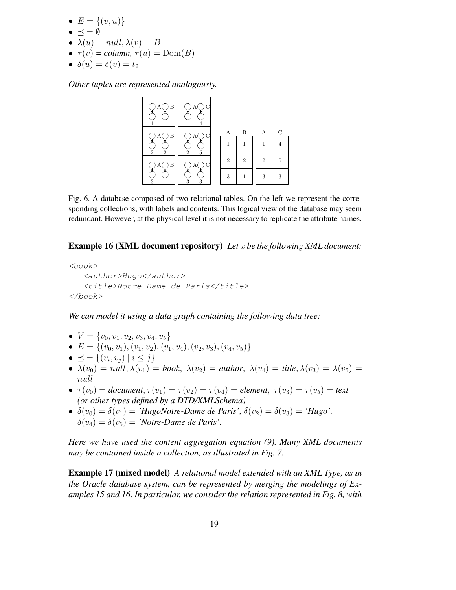- $E = \{(v, u)\}\$
- $\bullet \preceq = \emptyset$
- $\lambda(u) = null, \lambda(v) = B$
- $\tau(v) = column$ ,  $\tau(u) = Dom(B)$
- $\delta(u) = \delta(v) = t_2$

*Other tuples are represented analogously.*



Fig. 6. A database composed of two relational tables. On the left we represent the corresponding collections, with labels and contents. This logical view of the database may seem redundant. However, at the physical level it is not necessary to replicate the attribute names.

**Example 16 (XML document repository)** *Let* x *be the following XML document:*

```
<book><author>Hugo</author>
   <title>Notre-Dame de Paris</title>
</book>
```
*We can model it using a data graph containing the following data tree:*

- $V = \{v_0, v_1, v_2, v_3, v_4, v_5\}$
- $E = \{(v_0, v_1), (v_1, v_2), (v_1, v_4), (v_2, v_3), (v_4, v_5)\}\$
- $\preceq$  = { $(v_i, v_j) | i \leq j$ }
- $\lambda(v_0) = null, \lambda(v_1) = book, \lambda(v_2) = author, \lambda(v_4) = title, \lambda(v_3) = \lambda(v_5) =$ null
- $\tau(v_0) = document, \tau(v_1) = \tau(v_2) = \tau(v_4) = element, \tau(v_3) = \tau(v_5) = text$ *(or other types defined by a DTD/XMLSchema)*
- $\delta(v_0) = \delta(v_1) = 'HugoNotre-Dame de Paris', \delta(v_2) = \delta(v_3) = 'Hugo',$  $\delta(v_4) = \delta(v_5) = 'Notre$ -Dame de Paris'.

*Here we have used the content aggregation equation (9). Many XML documents may be contained inside a collection, as illustrated in Fig. 7.*

**Example 17 (mixed model)** *A relational model extended with an XML Type, as in the Oracle database system, can be represented by merging the modelings of Examples 15 and 16. In particular, we consider the relation represented in Fig. 8, with*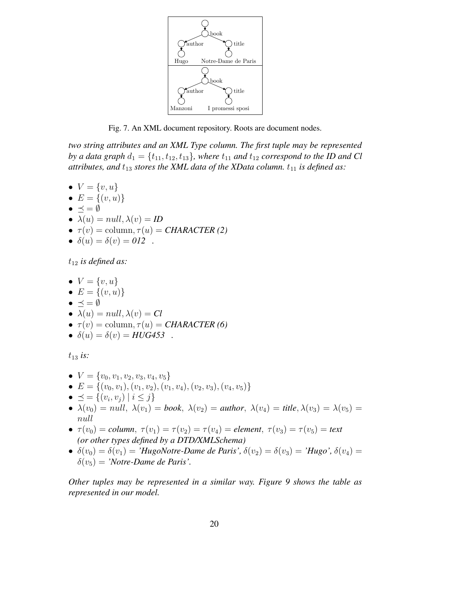

Fig. 7. An XML document repository. Roots are document nodes.

*two string attributes and an XML Type column. The first tuple may be represented by a data graph*  $d_1 = \{t_{11}, t_{12}, t_{13}\}$ *, where*  $t_{11}$  *and*  $t_{12}$  *correspond to the ID and Cl attributes, and*  $t_{13}$  *stores the XML data of the XData column.*  $t_{11}$  *is defined as:* 

- $V = \{v, u\}$
- $E = \{(v, u)\}\$
- $\bullet \prec = \emptyset$
- $\lambda(u) = null, \lambda(v) = ID$
- $\tau(v) = \text{column}, \tau(u) = \text{CHARACTER (2)}$
- $\delta(u) = \delta(v) = 0.2$ .

 $t_{12}$  *is defined as:* 

- $V = \{v, u\}$
- $E = \{(v, u)\}\$
- $\bullet \preceq = \emptyset$
- $\lambda(u) = null, \lambda(v) = Cl$
- $\tau(v) = \text{column}, \tau(u) = \text{CHARACTER}(6)$
- $\delta(u) = \delta(v) = HUG453$ .

 $t_{13}$  *is:* 

- $V = \{v_0, v_1, v_2, v_3, v_4, v_5\}$
- $E = \{(v_0, v_1), (v_1, v_2), (v_1, v_4), (v_2, v_3), (v_4, v_5)\}\$
- $\preceq$  = { $(v_i, v_j) | i \leq j$ }
- $\lambda(v_0) = null, \lambda(v_1) = book, \lambda(v_2) = author, \lambda(v_4) = title, \lambda(v_3) = \lambda(v_5) =$ null
- $\tau(v_0) = column, \ \tau(v_1) = \tau(v_2) = \tau(v_4) = element, \ \tau(v_3) = \tau(v_5) = text$ *(or other types defined by a DTD/XMLSchema)*
- $\delta(v_0) = \delta(v_1) = 'Hugolotre-Dame de Paris', \delta(v_2) = \delta(v_3) = 'Hugo', \delta(v_4) =$  $\delta(v_5) = 'Notre$ -Dame de Paris'.

*Other tuples may be represented in a similar way. Figure 9 shows the table as represented in our model.*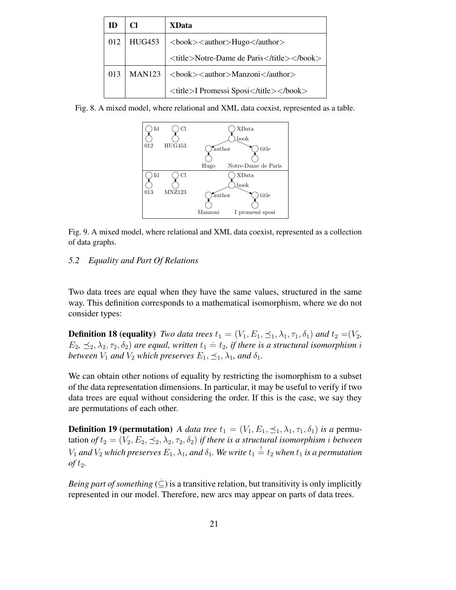| ID  | Сl            | <b>XData</b>                       |
|-----|---------------|------------------------------------|
| 012 | HUG453        | $<book><author> Hugo~/author>$     |
|     |               | <title>Notre-Dame de Paris</title> |
| 013 | <b>MAN123</b> | <br>look> <author>Manzoni</author> |
|     |               | <title>I Promessi Sposi</title>    |

Fig. 8. A mixed model, where relational and XML data coexist, represented as a table.



Fig. 9. A mixed model, where relational and XML data coexist, represented as a collection of data graphs.

# *5.2 Equality and Part Of Relations*

Two data trees are equal when they have the same values, structured in the same way. This definition corresponds to a mathematical isomorphism, where we do not consider types:

**Definition 18 (equality)** *Two data trees*  $t_1 = (V_1, E_1, \leq_1, \lambda_1, \tau_1, \delta_1)$  *and*  $t_2 = (V_2,$  $E_2, \leq_2, \lambda_2, \tau_2, \delta_2$  *are equal, written*  $t_1 \doteq t_2$ *, if there is a structural isomorphism i between*  $V_1$  *and*  $V_2$  *which preserves*  $E_1, \leq_1, \lambda_1$ *, and*  $\delta_1$ *.* 

We can obtain other notions of equality by restricting the isomorphism to a subset of the data representation dimensions. In particular, it may be useful to verify if two data trees are equal without considering the order. If this is the case, we say they are permutations of each other.

**Definition 19 (permutation)** *A data tree*  $t_1 = (V_1, E_1, \leq_1, \lambda_1, \tau_1, \delta_1)$  *is a* permutation *of*  $t_2 = (V_2, E_2, \leq_2, \lambda_2, \tau_2, \delta_2)$  *if there is a structural isomorphism i between*  $V_1$  *and*  $V_2$  *which preserves*  $E_1, \lambda_1$ *, and*  $\delta_1$ *. We write*  $t_1 \stackrel{!}{=} t_2$  *when*  $t_1$  *is a permutation*  $of$   $t_2$ *.* 

*Being part of something*  $(\subseteq)$  is a transitive relation, but transitivity is only implicitly represented in our model. Therefore, new arcs may appear on parts of data trees.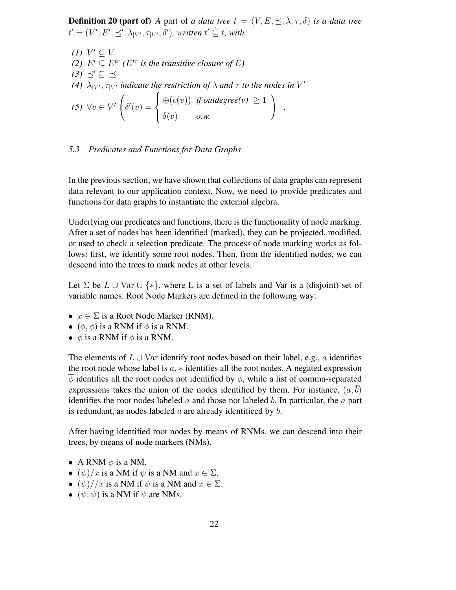**Definition 20 (part of)** A part of *a data tree*  $t = (V, E, \leq, \lambda, \tau, \delta)$  *is a data tree*  $t' = (V', E', \leq', \lambda_{|V'}, \tau_{|V'}, \delta')$ , written  $t' \subseteq t$ , with:

 $(U)$   $V' \subseteq V$ (2)  $E' \subseteq E^{tr}$  ( $E^{tr}$  is the *transitive closure of*  $E$ ) *(3)*  $\preceq'$  ⊆  $\preceq$ *(4)*  $\lambda_{|V'}, \tau_{|V'}$  *indicate the restriction of*  $\lambda$  *and*  $\tau$  *to the nodes in*  $V'$  $(5)$  ∀v ∈  $V'$  $\sqrt{ }$  $\delta'(v) =$  $\sqrt{ }$  $\int$  $\mathbf{I}$  $\bigoplus (c(v))$  *if outdegree*(*v*)  $\geq 1$  $\delta(v)$  *o.w.*  $\setminus$ *.*

# *5.3 Predicates and Functions for Data Graphs*

In the previous section, we have shown that collections of data graphs can represent data relevant to our application context. Now, we need to provide predicates and functions for data graphs to instantiate the external algebra.

Underlying our predicates and functions, there is the functionality of node marking. After a set of nodes has been identified (marked), they can be projected, modified, or used to check a selection predicate. The process of node marking works as follows: first, we identify some root nodes. Then, from the identified nodes, we can descend into the trees to mark nodes at other levels.

Let  $\Sigma$  be  $L \cup \text{Var} \cup \{*\}$ , where L is a set of labels and Var is a (disjoint) set of variable names. Root Node Markers are defined in the following way:

- $x \in \Sigma$  is a Root Node Marker (RNM).
- $(\phi, \phi)$  is a RNM if  $\phi$  is a RNM.
- $\overline{\phi}$  is a RNM if  $\phi$  is a RNM.

The elements of  $L \cup \text{Var identity root nodes based on their label, e.g., } a \text{ identifies }$ the root node whose label is  $a. *$  identifies all the root nodes. A negated expression  $\phi$  identifies all the root nodes not identified by  $\phi$ , while a list of comma-separated expressions takes the union of the nodes identified by them. For instance,  $(a, \overline{b})$ identifies the root nodes labeled a and those not labeled b. In particular, the a part is redundant, as nodes labeled a are already identifieed by  $\overline{b}$ .

After having identified root nodes by means of RNMs, we can descend into their trees, by means of node markers (NMs).

- A RNM  $\phi$  is a NM.
- $(\psi)/x$  is a NM if  $\psi$  is a NM and  $x \in \Sigma$ .
- $(\psi)/x$  is a NM if  $\psi$  is a NM and  $x \in \Sigma$ .
- $(\psi; \psi)$  is a NM if  $\psi$  are NMs.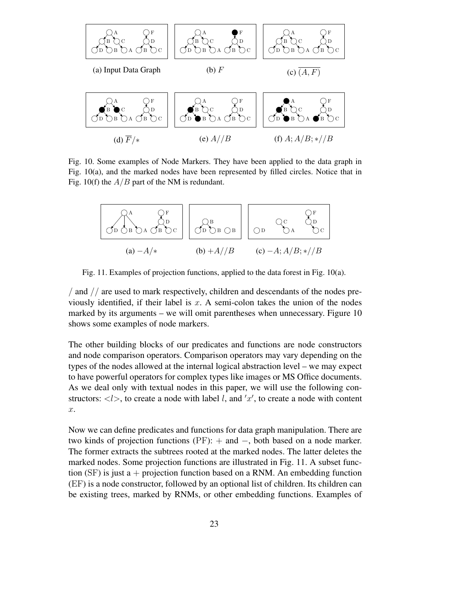

Fig. 10. Some examples of Node Markers. They have been applied to the data graph in Fig. 10(a), and the marked nodes have been represented by filled circles. Notice that in Fig. 10(f) the  $A/B$  part of the NM is redundant.



Fig. 11. Examples of projection functions, applied to the data forest in Fig. 10(a).

/ and // are used to mark respectively, children and descendants of the nodes previously identified, if their label is  $x$ . A semi-colon takes the union of the nodes marked by its arguments – we will omit parentheses when unnecessary. Figure 10 shows some examples of node markers.

The other building blocks of our predicates and functions are node constructors and node comparison operators. Comparison operators may vary depending on the types of the nodes allowed at the internal logical abstraction level – we may expect to have powerful operators for complex types like images or MS Office documents. As we deal only with textual nodes in this paper, we will use the following constructors:  $\langle l \rangle$ , to create a node with label *l*, and 'x', to create a node with content  $x.$ 

Now we can define predicates and functions for data graph manipulation. There are two kinds of projection functions (PF):  $+$  and  $-$ , both based on a node marker. The former extracts the subtrees rooted at the marked nodes. The latter deletes the marked nodes. Some projection functions are illustrated in Fig. 11. A subset function (SF) is just a  $+$  projection function based on a RNM. An embedding function (EF) is a node constructor, followed by an optional list of children. Its children can be existing trees, marked by RNMs, or other embedding functions. Examples of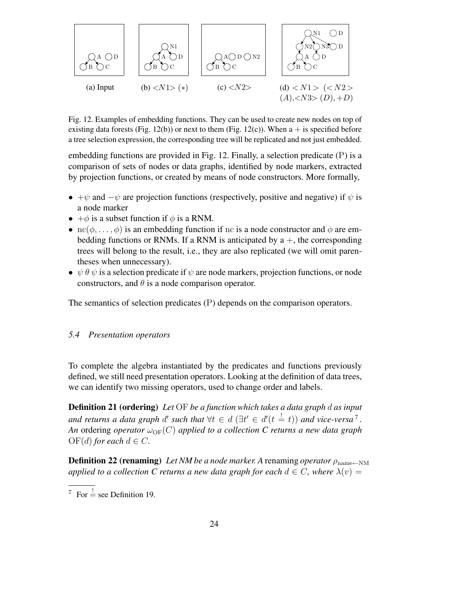

Fig. 12. Examples of embedding functions. They can be used to create new nodes on top of existing data forests (Fig. 12(b)) or next to them (Fig. 12(c)). When  $a + i s$  specified before a tree selection expression, the corresponding tree will be replicated and not just embedded.

embedding functions are provided in Fig. 12. Finally, a selection predicate (P) is a comparison of sets of nodes or data graphs, identified by node markers, extracted by projection functions, or created by means of node constructors. More formally,

- $+\psi$  and  $-\psi$  are projection functions (respectively, positive and negative) if  $\psi$  is a node marker
- $+\phi$  is a subset function if  $\phi$  is a RNM.
- $nc(\phi, \ldots, \phi)$  is an embedding function if nc is a node constructor and  $\phi$  are embedding functions or RNMs. If a RNM is anticipated by  $a +$ , the corresponding trees will belong to the result, i.e., they are also replicated (we will omit parentheses when unnecessary).
- $\psi \theta \psi$  is a selection predicate if  $\psi$  are node markers, projection functions, or node constructors, and  $\theta$  is a node comparison operator.

The semantics of selection predicates (P) depends on the comparison operators.

# *5.4 Presentation operators*

To complete the algebra instantiated by the predicates and functions previously defined, we still need presentation operators. Looking at the definition of data trees, we can identify two missing operators, used to change order and labels.

**Definition 21 (ordering)** *Let* OF *be a function which takes a data graph* d *as input and returns a data graph d' such that*  $\forall t \in d \ (\exists t' \in d'(t \stackrel{!}{=} t))$  *and vice-versa*<sup>7</sup>. *An* ordering *operator*  $\omega_{\text{OF}}(C)$  *applied to a collection C returns a new data graph*  $OF(d)$  *for each*  $d \in C$ *.* 

**Definition 22 (renaming)** *Let NM be a node marker.* A renaming *operator*  $\rho_{name+NM}$ *applied to a collection C returns a new data graph for each*  $d \in C$ *, where*  $\lambda(v) =$ 

<sup>&</sup>lt;sup>7</sup> For  $\stackrel{!}{=}$  see Definition 19.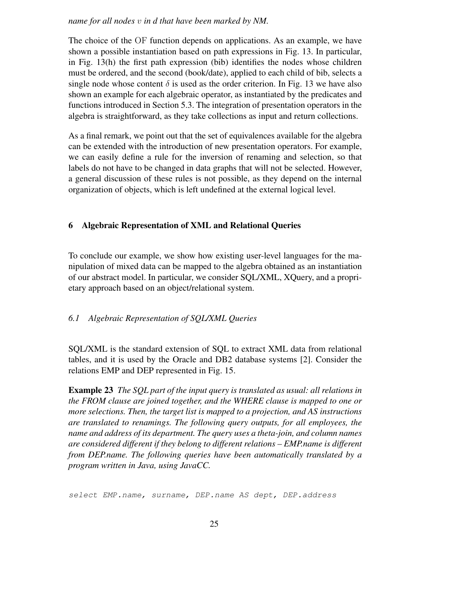#### *name for all nodes* v *in d that have been marked by NM.*

The choice of the OF function depends on applications. As an example, we have shown a possible instantiation based on path expressions in Fig. 13. In particular, in Fig. 13(h) the first path expression (bib) identifies the nodes whose children must be ordered, and the second (book/date), applied to each child of bib, selects a single node whose content  $\delta$  is used as the order criterion. In Fig. 13 we have also shown an example for each algebraic operator, as instantiated by the predicates and functions introduced in Section 5.3. The integration of presentation operators in the algebra is straightforward, as they take collections as input and return collections.

As a final remark, we point out that the set of equivalences available for the algebra can be extended with the introduction of new presentation operators. For example, we can easily define a rule for the inversion of renaming and selection, so that labels do not have to be changed in data graphs that will not be selected. However, a general discussion of these rules is not possible, as they depend on the internal organization of objects, which is left undefined at the external logical level.

# **6 Algebraic Representation of XML and Relational Queries**

To conclude our example, we show how existing user-level languages for the manipulation of mixed data can be mapped to the algebra obtained as an instantiation of our abstract model. In particular, we consider SQL/XML, XQuery, and a proprietary approach based on an object/relational system.

# *6.1 Algebraic Representation of SQL/XML Queries*

SQL/XML is the standard extension of SQL to extract XML data from relational tables, and it is used by the Oracle and DB2 database systems [2]. Consider the relations EMP and DEP represented in Fig. 15.

**Example 23** *The SQL part of the input query is translated as usual: all relations in the FROM clause are joined together, and the WHERE clause is mapped to one or more selections. Then, the target list is mapped to a projection, and AS instructions are translated to renamings. The following query outputs, for all employees, the name and address of its department. The query uses a theta-join, and column names are considered different if they belong to different relations – EMP.name is different from DEP.name. The following queries have been automatically translated by a program written in Java, using JavaCC.*

select EMP.name, surname, DEP.name AS dept, DEP.address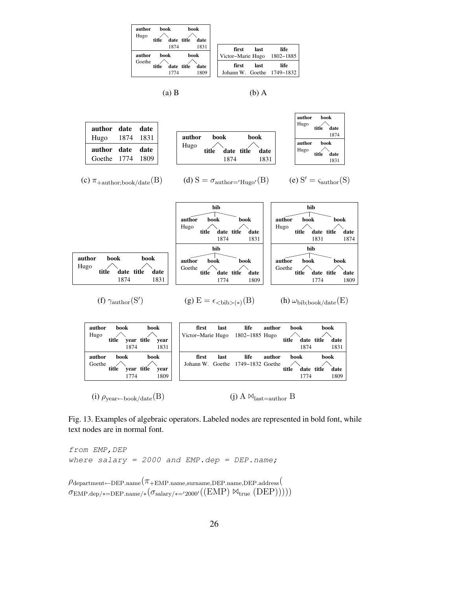| author<br>book<br>Hugo<br>title | book<br>date title | date         |       |      |                                     |
|---------------------------------|--------------------|--------------|-------|------|-------------------------------------|
| 1874<br>book<br>author          | book               | 1831         | first | last | life<br>Victor-Marie Hugo 1802-1885 |
| Goethe<br>title<br>1774         | date title         | date<br>1809 | first | last | life<br>Johann W. Goethe 1749-1832  |

$$
(a) B
$$

(b) A



(i)  $\rho_{\text{year} \leftarrow \text{book}/\text{date}}(B)$ (j) A  $\bowtie$ <sub>last=author</sub> B

Fig. 13. Examples of algebraic operators. Labeled nodes are represented in bold font, while text nodes are in normal font.

from EMP, DEP where salary =  $2000$  and EMP.dep = DEP.name;

 $\rho_{\rm department \leftarrow DEP.name}(\pi_{+\rm EMP.name, surname, DEP.name, DEP.address}(\pi_{+\rm EMP}(\pi_{\rm AP})))$  $\sigma_{\text{EMP.dep}/\ast=\text{DEP.name}/\ast}(\sigma_{\text{salary}/\ast=\text{'2000'}}((\text{EMP}) \Join_{\text{true}} (\text{DEP}))))$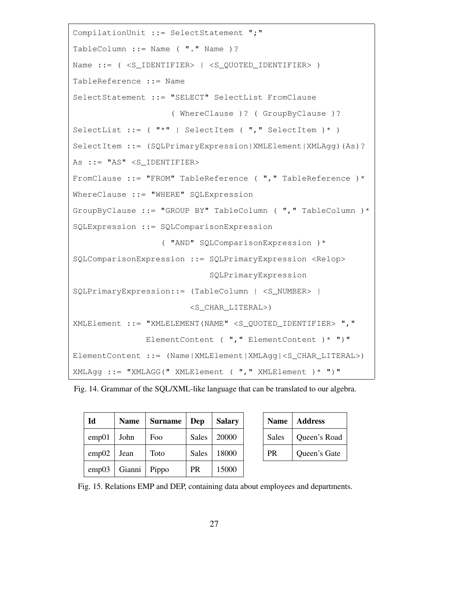```
CompilationUnit ::= SelectStatement ";"
TableColumn ::= Name ( "." Name )?
Name ::= ( <S_IDENTIFIER> | <S_QUOTED_IDENTIFIER> )
TableReference ::= Name
SelectStatement ::= "SELECT" SelectList FromClause
                    ( WhereClause )? ( GroupByClause )?
SelectList ::= ( " * " | SelectItem ( " , " SelectItem ) * )SelectItem ::= (SQLPrimaryExpression|XMLElement|XMLAgg)(As)?
As ::= "AS" <S_IDENTIFIER>
FromClause ::= "FROM" TableReference ( "," TableReference ) *
WhereClause ::= "WHERE" SQLExpression
GroupByClause ::= "GROUP BY" TableColumn ( "," TableColumn )*
SQLExpression ::= SQLComparisonExpression
                  ( "AND" SQLComparisonExpression )*
SQLComparisonExpression ::= SQLPrimaryExpression <Relop>
                            SQLPrimaryExpression
SQLPrimaryExpression::= (TableColumn | <S_NUMBER> |
                        <S_CHAR_LITERAL>)
XMLElement ::= "XMLELEMENT(NAME" <S_QUOTED_IDENTIFIER> ","
               ElementContent ( "," ElementContent )* ")"
ElementContent ::= (Name|XMLElement|XMLAgg|<S_CHAR_LITERAL>)
XMLAgg ::= "XMLAGG(" XMLElement ( "," XMLElement )* ")"
```
Fig. 14. Grammar of the SQL/XML-like language that can be translated to our algebra.

| Id    | <b>Name</b> | <b>Surname</b> | Dep       | <b>Salary</b> | <b>Name</b> | <b>Address</b> |
|-------|-------------|----------------|-----------|---------------|-------------|----------------|
| emp01 | John        | Foo            | Sales     | 20000         | Sales       | Queen's Road   |
| emp02 | Jean        | Toto           | Sales     | 18000         | <b>PR</b>   | Queen's Gate   |
| emp03 | Gianni      | Pippo          | <b>PR</b> | 15000         |             |                |

| <b>Name</b> | <b>Address</b> |
|-------------|----------------|
| Sales       | Queen's Road   |
| <b>PR</b>   | Queen's Gate   |

Fig. 15. Relations EMP and DEP, containing data about employees and departments.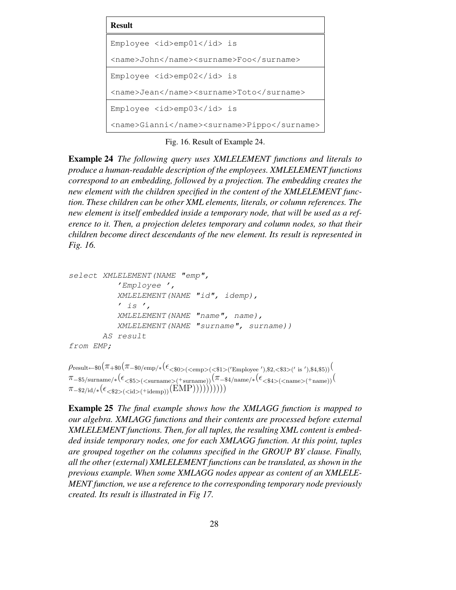```
Result
Employee <id>emp01</id> is
<name>John</name><surname>Foo</surname>
Employee <id>emp02</id> is
<name>Jean</name><surname>Toto</surname>
Employee <id>emp03</id> is
<name>Gianni</name><surname>Pippo</surname>
```
Fig. 16. Result of Example 24.

**Example 24** *The following query uses XMLELEMENT functions and literals to produce a human-readable description of the employees. XMLELEMENT functions correspond to an embedding, followed by a projection. The embedding creates the new element with the children specified in the content of the XMLELEMENT function. These children can be other XML elements, literals, or column references. The new element is itself embedded inside a temporary node, that will be used as a reference to it. Then, a projection deletes temporary and column nodes, so that their children become direct descendants of the new element. Its result is represented in Fig. 16.*

```
select XMLELEMENT(NAME "emp",
          'Employee ',
          XMLELEMENT(NAME "id", idemp),
          ' is ',
          XMLELEMENT(NAME "name", name),
          XMLELEMENT(NAME "surname", surname))
       AS result
from EMP;
```

```
\rho_{\rm result \leftarrow $0}(\pi_{+ $0}(\pi_{- $0/emp/{*}}(\epsilon_{< $0> (<emp>/<} \1>/('Employee '), $2, < $3>/('$ is '), $4, $5))}(
\pi_{-\$5/surname\}/*(\epsilon_{<\$\5>(\leq surrname)+(surrname)}(\pi_{-\$4/name}/*(\epsilon_{<\$\4>(\leq name)+(tname)}))\pi_{-\$2/id/*}(\epsilon_{\{\$2>(<id>(+idemp))}(EMP))))))))
```
**Example 25** *The final example shows how the XMLAGG function is mapped to our algebra. XMLAGG functions and their contents are processed before external XMLELEMENT functions. Then, for all tuples, the resulting XML content is embedded inside temporary nodes, one for each XMLAGG function. At this point, tuples are grouped together on the columns specified in the GROUP BY clause. Finally, all the other (external) XMLELEMENT functions can be translated, as shown in the previous example. When some XMLAGG nodes appear as content of an XMLELE-MENT function, we use a reference to the corresponding temporary node previously created. Its result is illustrated in Fig 17.*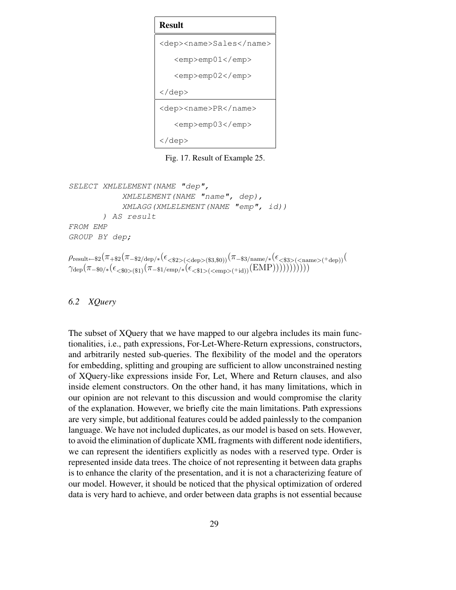

Fig. 17. Result of Example 25.

```
SELECT XMLELEMENT(NAME "dep",
           XMLELEMENT(NAME "name", dep),
           XMLAGG(XMLELEMENT(NAME "emp", id))
       ) AS result
FROM EMP
GROUP BY dep;
```

```
\rho_{\rm result \leftarrow \$2}(\pi_{+\$2}(\pi_{-\$2/\text{dep}})*(\epsilon_{<\$2> (<\text{dep}>(\$3,\$0))}(\pi_{-\$3/\text{name}}*(\epsilon_{<\$3> (<\text{name}>(+\text{dep}))}(\pi_{-\$3/\text{temp}}*(*\epsilon_{\{0\}}))\gamma_{\rm dep}(\pi_{-\$0/*}(\epsilon_{<\$\0>(\$\1}/\pi_{-\$1/emp/*}(\epsilon_{<\$\1>(<emp>(+id))}({\rm EMP})))))))))))))
```
#### *6.2 XQuery*

The subset of XQuery that we have mapped to our algebra includes its main functionalities, i.e., path expressions, For-Let-Where-Return expressions, constructors, and arbitrarily nested sub-queries. The flexibility of the model and the operators for embedding, splitting and grouping are sufficient to allow unconstrained nesting of XQuery-like expressions inside For, Let, Where and Return clauses, and also inside element constructors. On the other hand, it has many limitations, which in our opinion are not relevant to this discussion and would compromise the clarity of the explanation. However, we briefly cite the main limitations. Path expressions are very simple, but additional features could be added painlessly to the companion language. We have not included duplicates, as our model is based on sets. However, to avoid the elimination of duplicate XML fragments with different node identifiers, we can represent the identifiers explicitly as nodes with a reserved type. Order is represented inside data trees. The choice of not representing it between data graphs is to enhance the clarity of the presentation, and it is not a characterizing feature of our model. However, it should be noticed that the physical optimization of ordered data is very hard to achieve, and order between data graphs is not essential because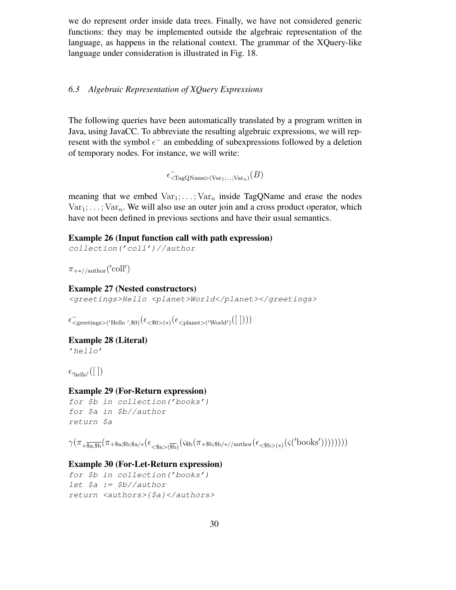we do represent order inside data trees. Finally, we have not considered generic functions: they may be implemented outside the algebraic representation of the language, as happens in the relational context. The grammar of the XQuery-like language under consideration is illustrated in Fig. 18.

# *6.3 Algebraic Representation of XQuery Expressions*

The following queries have been automatically translated by a program written in Java, using JavaCC. To abbreviate the resulting algebraic expressions, we will represent with the symbol  $\epsilon^-$  an embedding of subexpressions followed by a deletion of temporary nodes. For instance, we will write:

 $\epsilon_{\text{}}^{-}(Var_1;...;Var_n)(B)$ 

meaning that we embed  $Var_1; \ldots; Var_n$  inside TagQName and erase the nodes  $Var_1; \ldots; Var_n$ . We will also use an outer join and a cross product operator, which have not been defined in previous sections and have their usual semantics.

# **Example 26 (Input function call with path expression)**

collection('coll')//author

 $\pi_{+*//\text{author}}('coll')$ 

# **Example 27 (Nested constructors)**

<greetings>Hello <planet>World</planet></greetings>

 $\epsilon_{\rm \leqvertings>('Hello~',\$0)}^{-}(\epsilon_{\rm \leq 80>(*)}(\epsilon_{\rm \leq planet>('World') }(\lceil \: \rceil)))$ 

**Example 28 (Literal)** 'hello'

 $\epsilon_{\text{hello}}([$ ])

# **Example 29 (For-Return expression)**

```
for $b in collection('books')
for $a in $b//author
return $a
```

```
\gamma(\pi_{+\overline{\mathsf{sa},\mathsf{S}\mathbf{b}}}(\pi_{+\mathsf{sa},\mathsf{sb};\mathsf{sa}/*}(\epsilon_{<\mathsf{Sa}>(\overline{\mathsf{sb}})}(\varsigma_{\mathsf{sb}}(\pi_{+\mathsf{sb};\mathsf{sb}/*/\mathrm{author}}(\epsilon_{<\mathsf{sb}>(*)}(\varsigma(\text{'books'})))))))
```
# **Example 30 (For-Let-Return expression)**

```
for $b in collection('books')
let \sin := \frac{b}{\sin x}return <authors>{$a}</authors>
```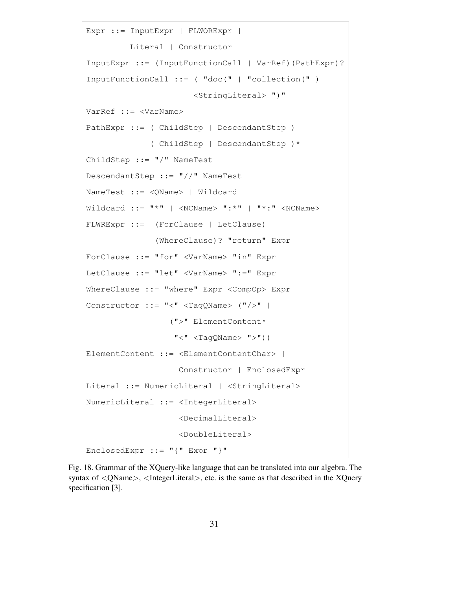```
Expr ::= InputExpr | FLWORExpr |
         Literal | Constructor
InputExpr ::= (InputFunctionCall | VarRef)(PathExpr)?
InputFunctionCall ::= ( "doc(" | "collection(" )
                      <StringLiteral> ")"
VarRef ::= <VarName>
PathExpr ::= ( ChildStep | DescendantStep )
             ( ChildStep | DescendantStep )*
ChildStep ::= "/" NameTest
DescendantStep ::= "//" NameTest
NameTest ::= <QName> | Wildcard
Wildcard ::= "*" | <NCName> ":*" | "*:" <NCName>
FLWRExpr ::= (ForClause | LetClause)
              (WhereClause)? "return" Expr
ForClause ::= "for" <VarName> "in" Expr
LetClause ::= "let" <VarName> ":=" Expr
WhereClause ::= "where" Expr <CompOp> Expr
Constructor ::= "<" <TagQName> ("/>" |
                 (">" ElementContent*
                  "<" <TagOName>">"))
ElementContent ::= <ElementContentChar> |
                   Constructor | EnclosedExpr
Literal ::= NumericLiteral | <StringLiteral>
NumericLiteral ::= <IntegerLiteral> |
                   <DecimalLiteral> |
                   <DoubleLiteral>
EnclosedExpr ::= "{" Expr "}"
```
Fig. 18. Grammar of the XQuery-like language that can be translated into our algebra. The syntax of <QName>, <IntegerLiteral>, etc. is the same as that described in the XQuery specification [3].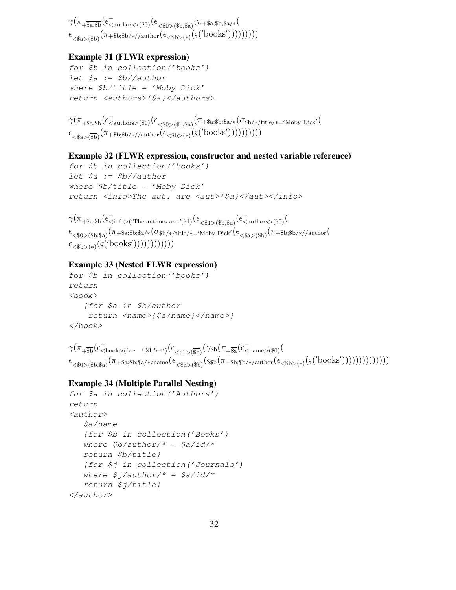$\gamma(\pi_{+\overline{\$a},\$b}(\epsilon_{\rm{~c authors}>(\$0)}^{-}(\epsilon_{\rm{~<0>(\overline{\$b},\$a})}(\pi_{+\$a;\$b;\$a/*}(\epsilon_{\rm{~chook)~chook})})$  $\epsilon_{\langle \$a>(\overline{\$b})}(\pi_{\{\$\bf b};\$\bf b/*)/author(\epsilon_{\langle \$b>(*)}(\varsigma('books')))))))$ 

#### **Example 31 (FLWR expression)**

for \$b in collection('books') let \$a := \$b//author where  $$b/title = 'Moby Dick'$ return <authors>{\$a}</authors>

 $\gamma(\pi_{+\overline{\$a},\overline{\$b}}(\epsilon_{\text{}<\text{authors}}^-(\$_{0}](\epsilon_{\text{<}\$\text{0}>(\overline{\$b},\overline{\$a}]})(\pi_{+\$\text{a};\$\text{b};\$\text{a}/*}(\sigma_{\$\text{b}/*/\text{title}}/\ast=\text{Moby Dick}$  $\epsilon_{\langle \$\mathrm{a}\rangle(\overline{\$_\mathrm{b}})}(\pi_{+\$\mathrm{b};\$ \mathrm{b}/\mathrm{*}//\mathrm{author}}(\epsilon_{\langle \$\mathrm{b}\rangle(\ast)}(\varsigma('books')))))))))$ 

#### **Example 32 (FLWR expression, constructor and nested variable reference)**

```
for $b in collection('books')
let \sin := \frac{b}{\tan x}where $b/title = 'Moby Dick'return <info>The aut. are <aut>{$a}</aut></info>
```
 $\gamma(\pi_{+\overline{\$a},\$b}(\epsilon_{<\!\!\mathrm{info}>('The\; authors\;are\;',\$1)}^{-}(\epsilon_{<\$\mathrm{1}>(\overline{\$b},\$a})}(\epsilon_{<\mathrm{authors}>(\$0)}^{-})$  $\epsilon_{\langle \$0>(\overline{\$b},\$\$a})}(\pi_{+\$\a};\$\asub{s}^{*}(\sigma_{\$b/*/title/*= 'Moby\ Dick'}(\epsilon_{\langle \$a>(\overline{\$b})}(\pi_{+\$\b};\$\b/*//author(\sigma_{\$b},\epsilon_{\{A\}}))$  $\epsilon_{\langle \text{sb}\rangle (*)}(\varsigma(\text{'books'}))))))))))))$ 

#### **Example 33 (Nested FLWR expression)**

```
for $b in collection('books')
return
<book>{for $a in $b/author
    return <name>{$a/name}</name>}
</book>
```

```
\gamma(\pi_{+\overline{\mathfrak{g}_{\text{b}}}}(\epsilon_{<\text{book}>(' \hookrightarrow \text{ '}, \mathfrak{z}_{1}, ' \hookleftarrow')}(\epsilon_{<\mathfrak{z}_{1}>(\overline{\mathfrak{z}_{\text{b}}})}(\gamma_{\mathfrak{b}}(\pi_{+\overline{\mathfrak{z}_{\text{a}}}}(\epsilon_{<\text{name}> (\mathfrak{z}_{0})}^{-}))\epsilon_{<\$0>(\overline{\$b},\overline{\$a})}(\pi_{+\$a;\$b;\$a/\ast/name}(\epsilon_{<\$\a>(\overline{\$b})}(\varsigma_{\$b}(\pi_{+\$b;\$b/\ast/author}(\epsilon_{<\$\b>(\ast)}(\varsigma('books')))))))))))))
```
#### **Example 34 (Multiple Parallel Nesting)**

```
for $a in collection('Authors')
return
<author>
   $a/name
   {for $b in collection('Books')
   where $b/author/* = $a/id/*return $b/title}
   {for $j in collection('Journals')
   where \frac{s}{4}/author/* = \frac{s}{4}/id/*
   return $j/title}
</author>
```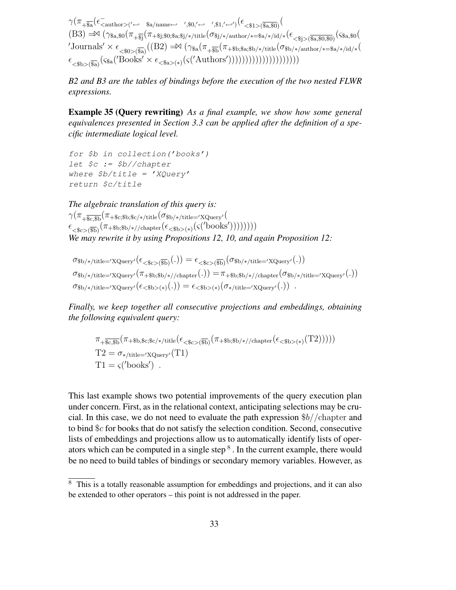$\gamma(\pi_{+\overline{\$a}}(\epsilon_{\text{}<\text{author}}^{+})_{\text{'}} \leftrightarrow \alpha_{\text{anine}} \rightarrow \alpha_{\text{anine}}^{*}, \alpha_{\text{onine}}^{*} \rightarrow \alpha_{\text{anine}}^{*}, \alpha_{\text{anine}}^{*}) (\epsilon_{\text{<}} \cdot \alpha_{\text{anine}}^{*})$  $(B3) \Rightarrow \forall (\gamma_{a,} \gamma_{a,} = \sqrt{\pi_{a,} \pi_{a,}} (\pi_{+}, \pi_{a,} \gamma_{a,}, \pi_{a,}) \times \pi_{a,} \text{ where } (\pi_{a,} \gamma_{a,} = \pi_{a,} \gamma_{a,} \pi_{a,} \text{ and } \pi_{a,} = \pi_{a,} \pi_{a,} \text{ and } \pi_{a,} = \pi_{a,} \pi_{a,} \text{ and } (\pi_{a,} \gamma_{a,} = \pi_{a,} \gamma_{a,} \text{ and } \pi_{a,} = \pi_{a,} \pi_{a,} \text{ and } \pi_{a,} = \pi_{a,$ <sup>0</sup>Journals<sup>0</sup> × <\$0>(\$a) ((B2) =✶ (γ\$a(π+\$b(π+\$b;\$a;\$b/∗/title(σ\$b/∗/author/∗=\$a/∗/id/∗(  $\epsilon_{\langle \$b>(\overline{\$a}\rangle)}(\langle \$a(\text{Books}' \times \epsilon_{\langle \$a>(})\langle (\langle \text{Authors}' \rangle))))))))))))))))))))))))$ 

*B2 and B3 are the tables of bindings before the execution of the two nested FLWR expressions.*

**Example 35 (Query rewriting)** *As a final example, we show how some general equivalences presented in Section 3.3 can be applied after the definition of a specific intermediate logical level.*

```
for $b in collection('books')
let \zeta_c := \zeta_b / c_hapter
where $b/title = 'XQuery'return $c/title
```
*The algebraic translation of this query is:*  $\gamma(\pi_{+\overline{\text{{\rm 8c.8b}}}}(\pi_{+\text{{\rm 8c}};\text{{\rm 8b}};\text{{\rm 8c}}/\ast/\text{title}}(\sigma_{\text{{\rm 8b}}/\ast/\text{title}}\_\text{{XQuery}}\text{($  $\epsilon_{\langle\$\text{c}> (\overline{\$b})}(\pi_{+\$\text{b}; \$\text{b}/\ast// \text{chapter}}(\epsilon_{\langle\$\text{b}> (\ast)}(\varsigma('books'))))))))$ *We may rewrite it by using Propositions 12, 10, and again Proposition 12:*

$$
\sigma_{\$b/*/title='XQuery'}(\epsilon_{<\$c>(\overline{\$b})}(.) ) = \epsilon_{<\$c>(\overline{\$b})}(\sigma_{\$b/*/title='XQuery'}(.))
$$
  

$$
\sigma_{\$b/*/title='XQuery'}(\pi_{+\$b;\$b/*//chapter}(.) ) = \pi_{+\$b;\$b/*//chapter(\sigma_{\$b/*/title='XQuery'}(.))
$$
  

$$
\sigma_{\$b/*/title='XQuery'}(\epsilon_{<\$b>(*)}(.) ) = \epsilon_{<\$b>(*)}(\sigma_{*/title='XQuery'}(.) )
$$
.

*Finally, we keep together all consecutive projections and embeddings, obtaining the following equivalent query:*

$$
\pi_{+\overline{\text{8c},\text{8b}}}(\pi_{+\text{8b},\text{8c};\text{8c}^*/\text{title}}(\epsilon_{<\text{8c}^*/\overline{\text{8b}}})(\pi_{+\text{8b};\text{8b}^*/\text{/chapter}}(\epsilon_{<\text{8b}^*/\overline{\text{}}(\text{T2}))))
$$
  
\nT2 =  $\sigma_{*/\text{title}} \times \text{Query'}(\text{T1})$   
\nT1 =  $\varsigma(\text{books}')$ .

This last example shows two potential improvements of the query execution plan under concern. First, as in the relational context, anticipating selections may be crucial. In this case, we do not need to evaluate the path expression  $\frac{6}{b}$ //chapter and to bind \$c for books that do not satisfy the selection condition. Second, consecutive lists of embeddings and projections allow us to automatically identify lists of operators which can be computed in a single step  $\delta$  . In the current example, there would be no need to build tables of bindings or secondary memory variables. However, as

<sup>8</sup> This is a totally reasonable assumption for embeddings and projections, and it can also be extended to other operators – this point is not addressed in the paper.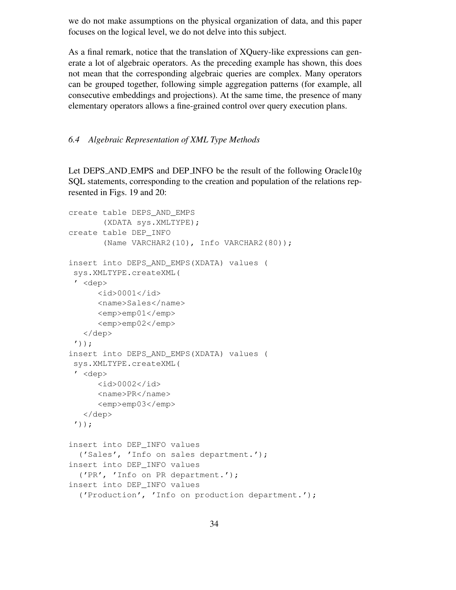we do not make assumptions on the physical organization of data, and this paper focuses on the logical level, we do not delve into this subject.

As a final remark, notice that the translation of XQuery-like expressions can generate a lot of algebraic operators. As the preceding example has shown, this does not mean that the corresponding algebraic queries are complex. Many operators can be grouped together, following simple aggregation patterns (for example, all consecutive embeddings and projections). At the same time, the presence of many elementary operators allows a fine-grained control over query execution plans.

# *6.4 Algebraic Representation of XML Type Methods*

Let DEPS AND EMPS and DEP INFO be the result of the following Oracle10*g* SQL statements, corresponding to the creation and population of the relations represented in Figs. 19 and 20:

```
create table DEPS_AND_EMPS
      (XDATA sys.XMLTYPE);
create table DEP_INFO
      (Name VARCHAR2(10), Info VARCHAR2(80));
insert into DEPS_AND_EMPS(XDATA) values (
sys.XMLTYPE.createXML(
 ' <dep>
      <id>0001</id>
      <name>Sales</name>
      <emp>emp01</emp>
      <emp>emp02</emp>
   </dep>
 \prime));
insert into DEPS_AND_EMPS(XDATA) values (
sys.XMLTYPE.createXML(
 ' <dep>
      <id>0002</id>
      <name>PR</name>
      <emp>emp03</emp>
  </dep>
 \prime));
insert into DEP_INFO values
  ('Sales', 'Info on sales department.');
insert into DEP_INFO values
  ('PR', 'Info on PR department.');
insert into DEP_INFO values
  ('Production', 'Info on production department.');
```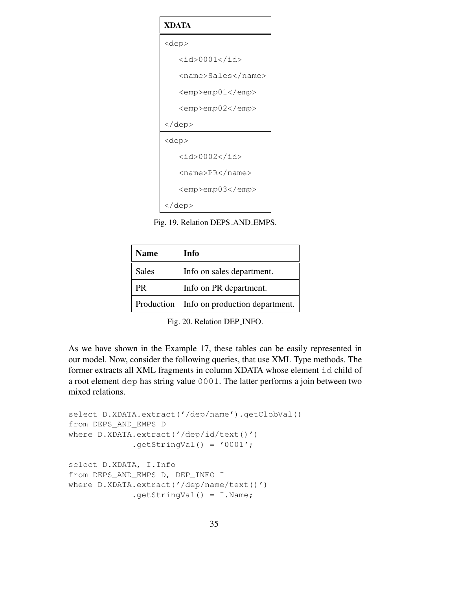| <b>XDATA</b>       |  |  |
|--------------------|--|--|
| <dep></dep>        |  |  |
| <id>0001</id>      |  |  |
| <name>Sales</name> |  |  |
| <emp>emp01</emp>   |  |  |
| <emp>emp02</emp>   |  |  |
|                    |  |  |
| <dep></dep>        |  |  |
| <id>0002</id>      |  |  |
| <name>PR</name>    |  |  |
| <emp>emp03</emp>   |  |  |
|                    |  |  |

Fig. 19. Relation DEPS AND EMPS.

| <b>Name</b> | Info                                        |
|-------------|---------------------------------------------|
| Sales       | Info on sales department.                   |
| PR.         | Info on PR department.                      |
|             | Production   Info on production department. |

Fig. 20. Relation DEP INFO.

As we have shown in the Example 17, these tables can be easily represented in our model. Now, consider the following queries, that use XML Type methods. The former extracts all XML fragments in column XDATA whose element id child of a root element dep has string value 0001. The latter performs a join between two mixed relations.

```
select D.XDATA.extract('/dep/name').getClobVal()
from DEPS_AND_EMPS D
where D.XDATA.extract('/dep/id/text()')
             .getStringVal() = '0001';
select D.XDATA, I.Info
from DEPS_AND_EMPS D, DEP_INFO I
where D.XDATA.extract('/dep/name/text()')
             .getStringVal() = I.Name;
```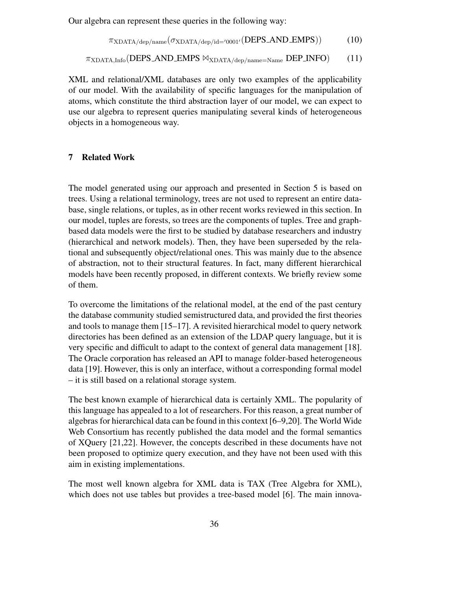Our algebra can represent these queries in the following way:

$$
\pi_{\text{XDATA/dep/name}}(\sigma_{\text{XDATA/dep/id} = '0001'}(\text{DEPS}\_\text{AND}\_\text{EMPS}))\tag{10}
$$

$$
\pi_{\text{XDATA},\text{Info}}(\text{DEPS}\_\text{AND}\_\text{EMPS} \bowtie_{\text{XDATA}/\text{dep}/\text{name}} \text{DEP}\_\text{INFO}) \tag{11}
$$

XML and relational/XML databases are only two examples of the applicability of our model. With the availability of specific languages for the manipulation of atoms, which constitute the third abstraction layer of our model, we can expect to use our algebra to represent queries manipulating several kinds of heterogeneous objects in a homogeneous way.

#### **7 Related Work**

The model generated using our approach and presented in Section 5 is based on trees. Using a relational terminology, trees are not used to represent an entire database, single relations, or tuples, as in other recent works reviewed in this section. In our model, tuples are forests, so trees are the components of tuples. Tree and graphbased data models were the first to be studied by database researchers and industry (hierarchical and network models). Then, they have been superseded by the relational and subsequently object/relational ones. This was mainly due to the absence of abstraction, not to their structural features. In fact, many different hierarchical models have been recently proposed, in different contexts. We briefly review some of them.

To overcome the limitations of the relational model, at the end of the past century the database community studied semistructured data, and provided the first theories and tools to manage them [15–17]. A revisited hierarchical model to query network directories has been defined as an extension of the LDAP query language, but it is very specific and difficult to adapt to the context of general data management [18]. The Oracle corporation has released an API to manage folder-based heterogeneous data [19]. However, this is only an interface, without a corresponding formal model – it is still based on a relational storage system.

The best known example of hierarchical data is certainly XML. The popularity of this language has appealed to a lot of researchers. For this reason, a great number of algebras for hierarchical data can be found in this context [6–9,20]. The World Wide Web Consortium has recently published the data model and the formal semantics of XQuery [21,22]. However, the concepts described in these documents have not been proposed to optimize query execution, and they have not been used with this aim in existing implementations.

The most well known algebra for XML data is TAX (Tree Algebra for XML), which does not use tables but provides a tree-based model [6]. The main innova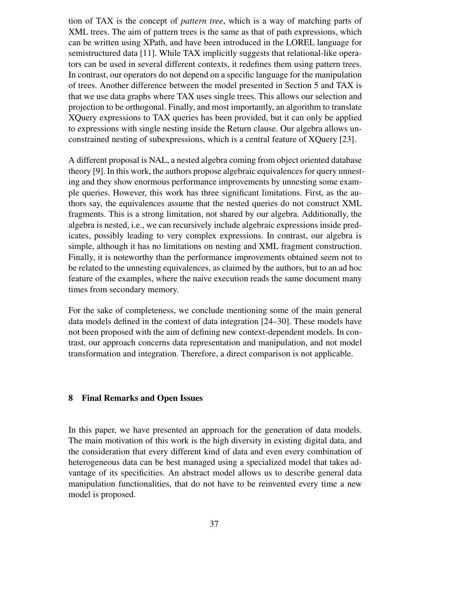tion of TAX is the concept of *pattern tree*, which is a way of matching parts of XML trees. The aim of pattern trees is the same as that of path expressions, which can be written using XPath, and have been introduced in the LOREL language for semistructured data [11]. While TAX implicitly suggests that relational-like operators can be used in several different contexts, it redefines them using pattern trees. In contrast, our operators do not depend on a specific language for the manipulation of trees. Another difference between the model presented in Section 5 and TAX is that we use data graphs where TAX uses single trees. This allows our selection and projection to be orthogonal. Finally, and most importantly, an algorithm to translate XQuery expressions to TAX queries has been provided, but it can only be applied to expressions with single nesting inside the Return clause. Our algebra allows unconstrained nesting of subexpressions, which is a central feature of XQuery [23].

A different proposal is NAL, a nested algebra coming from object oriented database theory [9]. In this work, the authors propose algebraic equivalences for query unnesting and they show enormous performance improvements by unnesting some example queries. However, this work has three significant limitations. First, as the authors say, the equivalences assume that the nested queries do not construct XML fragments. This is a strong limitation, not shared by our algebra. Additionally, the algebra is nested, i.e., we can recursively include algebraic expressions inside predicates, possibly leading to very complex expressions. In contrast, our algebra is simple, although it has no limitations on nesting and XML fragment construction. Finally, it is noteworthy than the performance improvements obtained seem not to be related to the unnesting equivalences, as claimed by the authors, but to an ad hoc feature of the examples, where the naive execution reads the same document many times from secondary memory.

For the sake of completeness, we conclude mentioning some of the main general data models defined in the context of data integration [24–30]. These models have not been proposed with the aim of defining new context-dependent models. In contrast, our approach concerns data representation and manipulation, and not model transformation and integration. Therefore, a direct comparison is not applicable.

## **8 Final Remarks and Open Issues**

In this paper, we have presented an approach for the generation of data models. The main motivation of this work is the high diversity in existing digital data, and the consideration that every different kind of data and even every combination of heterogeneous data can be best managed using a specialized model that takes advantage of its specificities. An abstract model allows us to describe general data manipulation functionalities, that do not have to be reinvented every time a new model is proposed.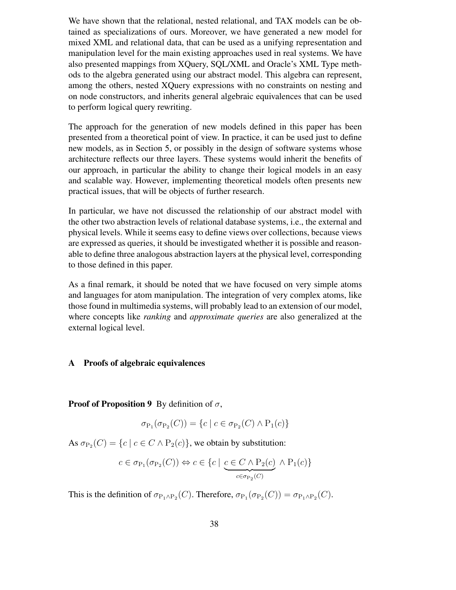We have shown that the relational, nested relational, and TAX models can be obtained as specializations of ours. Moreover, we have generated a new model for mixed XML and relational data, that can be used as a unifying representation and manipulation level for the main existing approaches used in real systems. We have also presented mappings from XQuery, SQL/XML and Oracle's XML Type methods to the algebra generated using our abstract model. This algebra can represent, among the others, nested XQuery expressions with no constraints on nesting and on node constructors, and inherits general algebraic equivalences that can be used to perform logical query rewriting.

The approach for the generation of new models defined in this paper has been presented from a theoretical point of view. In practice, it can be used just to define new models, as in Section 5, or possibly in the design of software systems whose architecture reflects our three layers. These systems would inherit the benefits of our approach, in particular the ability to change their logical models in an easy and scalable way. However, implementing theoretical models often presents new practical issues, that will be objects of further research.

In particular, we have not discussed the relationship of our abstract model with the other two abstraction levels of relational database systems, i.e., the external and physical levels. While it seems easy to define views over collections, because views are expressed as queries, it should be investigated whether it is possible and reasonable to define three analogous abstraction layers at the physical level, corresponding to those defined in this paper.

As a final remark, it should be noted that we have focused on very simple atoms and languages for atom manipulation. The integration of very complex atoms, like those found in multimedia systems, will probably lead to an extension of our model, where concepts like *ranking* and *approximate queries* are also generalized at the external logical level.

# **A Proofs of algebraic equivalences**

**Proof of Proposition 9** By definition of  $\sigma$ ,

$$
\sigma_{P_1}(\sigma_{P_2}(C)) = \{c \mid c \in \sigma_{P_2}(C) \land P_1(c)\}
$$

As  $\sigma_{P_2}(C) = \{c \mid c \in C \land P_2(c)\}$ , we obtain by substitution:

$$
c \in \sigma_{P_1}(\sigma_{P_2}(C)) \Leftrightarrow c \in \{c \mid \underbrace{c \in C \land P_2(c)}_{c \in \sigma_{P_2}(C)} \land P_1(c) \}
$$

This is the definition of  $\sigma_{P_1 \wedge P_2}(C)$ . Therefore,  $\sigma_{P_1}(\sigma_{P_2}(C)) = \sigma_{P_1 \wedge P_2}(C)$ .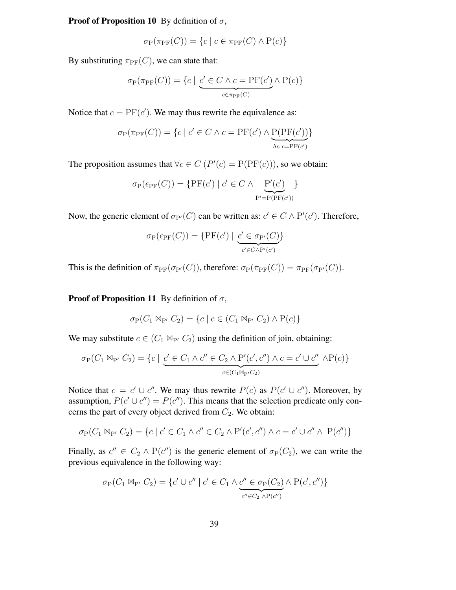**Proof of Proposition 10** By definition of  $\sigma$ ,

$$
\sigma_{\rm P}(\pi_{\rm PF}(C)) = \{c \mid c \in \pi_{\rm PF}(C) \land {\rm P}(c)\}\
$$

By substituting  $\pi_{\text{PF}}(C)$ , we can state that:

$$
\sigma_{\mathcal{P}}(\pi_{\mathcal{PF}}(C)) = \{c \mid \underbrace{c' \in C \land c = \mathcal{PF}(c')}_{c \in \pi_{\mathcal{PF}}(C)} \land \mathcal{P}(c)\}
$$

Notice that  $c = PF(c')$ . We may thus rewrite the equivalence as:

$$
\sigma_{\mathcal{P}}(\pi_{\mathcal{PF}}(C)) = \{c \mid c' \in C \land c = \mathcal{PF}(c') \land \underbrace{\mathcal{P}(\mathcal{PF}(c'))}_{\mathcal{A}s} \}
$$

The proposition assumes that  $\forall c \in C \ (P'(c) = P(PF(c)))$ , so we obtain:

$$
\sigma_{\mathcal{P}}(\epsilon_{\mathcal{P}\mathcal{F}}(C)) = \{ \mathcal{P}\mathcal{F}(c') \mid c' \in C \land \underbrace{\mathcal{P}'(c')}_{\mathcal{P}' = \mathcal{P}(\mathcal{P}\mathcal{F}(c'))} \}
$$

Now, the generic element of  $\sigma_{P'}(C)$  can be written as:  $c' \in C \wedge P'(c')$ . Therefore,

$$
\sigma_{\mathcal{P}}(\epsilon_{\mathcal{PF}}(C)) = \{ \mathcal{PF}(c') \mid \underbrace{c' \in \sigma_{\mathcal{P}'}(C)}_{c' \in C \land \mathcal{P'}(c')} \}
$$

This is the definition of  $\pi_{PF}(\sigma_{P}(C))$ , therefore:  $\sigma_P(\pi_{PF}(C)) = \pi_{PF}(\sigma_{P}(C))$ .

# **Proof of Proposition 11** By definition of  $\sigma$ ,

$$
\sigma_{P}(C_1 \bowtie_{P'} C_2) = \{c \mid c \in (C_1 \bowtie_{P'} C_2) \land P(c)\}
$$

We may substitute  $c \in (C_1 \bowtie_{P'} C_2)$  using the definition of join, obtaining:

$$
\sigma_{\mathcal{P}}(C_1 \bowtie_{\mathcal{P}'} C_2) = \{c \mid \underbrace{c' \in C_1 \land c'' \in C_2 \land \mathcal{P}'(c', c'') \land c = c' \cup c''}_{c \in (C_1 \bowtie_{\mathcal{P}'} C_2)} \land \mathcal{P}(c)\}
$$

Notice that  $c = c' \cup c''$ . We may thus rewrite  $P(c)$  as  $P(c' \cup c'')$ . Moreover, by assumption,  $P(c' \cup c'') = P(c'')$ . This means that the selection predicate only concerns the part of every object derived from  $C_2$ . We obtain:

$$
\sigma_{P}(C_1 \bowtie_{P'} C_2) = \{c \mid c' \in C_1 \land c'' \in C_2 \land P'(c', c'') \land c = c' \cup c'' \land P(c'')\}
$$

Finally, as  $c'' \in C_2 \wedge P(c'')$  is the generic element of  $\sigma_P(C_2)$ , we can write the previous equivalence in the following way:

$$
\sigma_{P}(C_1 \bowtie_{P'} C_2) = \{c' \cup c'' \mid c' \in C_1 \land c'' \in \sigma_{P}(C_2) \land P(c', c'')\}
$$
  

$$
c'' \in C_2 \land P(c'')
$$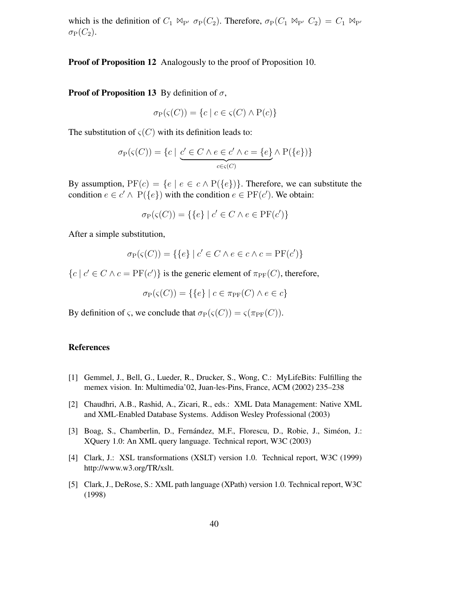which is the definition of  $C_1 \bowtie_{P'} \sigma_P(C_2)$ . Therefore,  $\sigma_P(C_1 \bowtie_{P'} C_2) = C_1 \bowtie_{P'} P_2$  $\sigma_P(C_2)$ .

**Proof of Proposition 12** Analogously to the proof of Proposition 10.

**Proof of Proposition 13** By definition of  $\sigma$ ,

$$
\sigma_{\mathcal{P}}(\varsigma(C)) = \{c \mid c \in \varsigma(C) \land \mathcal{P}(c)\}
$$

The substitution of  $\varsigma(C)$  with its definition leads to:

$$
\sigma_{\mathcal{P}}(\varsigma(C)) = \{c \mid \underbrace{c' \in C \land e \in c' \land c = \{e\}}_{c \in \varsigma(C)} \land \mathcal{P}(\{e\})\}
$$

By assumption,  $PF(c) = \{e \mid e \in c \land P(\{e\})\}$ . Therefore, we can substitute the condition  $e \in c' \land P({e})$  with the condition  $e \in PF(c')$ . We obtain:

$$
\sigma_{\mathcal{P}}(\varsigma(C)) = \{\{e\} \mid c' \in C \land e \in \mathcal{PF}(c')\}
$$

After a simple substitution,

$$
\sigma_{\mathcal{P}}(\varsigma(C)) = \{\{e\} \mid c' \in C \land e \in c \land c = \mathcal{P}\mathcal{F}(c')\}
$$

 $\{c \mid c' \in C \land c = \text{PF}(c')\}$  is the generic element of  $\pi_{\text{PF}}(C)$ , therefore,

$$
\sigma_{\mathcal{P}}(\varsigma(C)) = \{\{e\} \mid c \in \pi_{\mathcal{PF}}(C) \land e \in c\}
$$

By definition of  $\varsigma$ , we conclude that  $\sigma_P(\varsigma(C)) = \varsigma(\pi_{\text{PF}}(C)).$ 

#### **References**

- [1] Gemmel, J., Bell, G., Lueder, R., Drucker, S., Wong, C.: MyLifeBits: Fulfilling the memex vision. In: Multimedia'02, Juan-les-Pins, France, ACM (2002) 235–238
- [2] Chaudhri, A.B., Rashid, A., Zicari, R., eds.: XML Data Management: Native XML and XML-Enabled Database Systems. Addison Wesley Professional (2003)
- [3] Boag, S., Chamberlin, D., Fernández, M.F., Florescu, D., Robie, J., Siméon, J.: XQuery 1.0: An XML query language. Technical report, W3C (2003)
- [4] Clark, J.: XSL transformations (XSLT) version 1.0. Technical report, W3C (1999) http://www.w3.org/TR/xslt.
- [5] Clark, J., DeRose, S.: XML path language (XPath) version 1.0. Technical report, W3C (1998)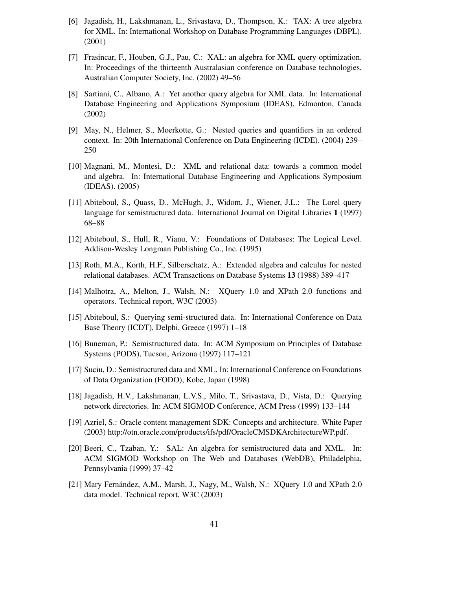- [6] Jagadish, H., Lakshmanan, L., Srivastava, D., Thompson, K.: TAX: A tree algebra for XML. In: International Workshop on Database Programming Languages (DBPL). (2001)
- [7] Frasincar, F., Houben, G.J., Pau, C.: XAL: an algebra for XML query optimization. In: Proceedings of the thirteenth Australasian conference on Database technologies, Australian Computer Society, Inc. (2002) 49–56
- [8] Sartiani, C., Albano, A.: Yet another query algebra for XML data. In: International Database Engineering and Applications Symposium (IDEAS), Edmonton, Canada (2002)
- [9] May, N., Helmer, S., Moerkotte, G.: Nested queries and quantifiers in an ordered context. In: 20th International Conference on Data Engineering (ICDE). (2004) 239– 250
- [10] Magnani, M., Montesi, D.: XML and relational data: towards a common model and algebra. In: International Database Engineering and Applications Symposium (IDEAS). (2005)
- [11] Abiteboul, S., Quass, D., McHugh, J., Widom, J., Wiener, J.L.: The Lorel query language for semistructured data. International Journal on Digital Libraries **1** (1997) 68–88
- [12] Abiteboul, S., Hull, R., Vianu, V.: Foundations of Databases: The Logical Level. Addison-Wesley Longman Publishing Co., Inc. (1995)
- [13] Roth, M.A., Korth, H.F., Silberschatz, A.: Extended algebra and calculus for nested relational databases. ACM Transactions on Database Systems **13** (1988) 389–417
- [14] Malhotra, A., Melton, J., Walsh, N.: XQuery 1.0 and XPath 2.0 functions and operators. Technical report, W3C (2003)
- [15] Abiteboul, S.: Querying semi-structured data. In: International Conference on Data Base Theory (ICDT), Delphi, Greece (1997) 1–18
- [16] Buneman, P.: Semistructured data. In: ACM Symposium on Principles of Database Systems (PODS), Tucson, Arizona (1997) 117–121
- [17] Suciu, D.: Semistructured data and XML. In: International Conference on Foundations of Data Organization (FODO), Kobe, Japan (1998)
- [18] Jagadish, H.V., Lakshmanan, L.V.S., Milo, T., Srivastava, D., Vista, D.: Querying network directories. In: ACM SIGMOD Conference, ACM Press (1999) 133–144
- [19] Azriel, S.: Oracle content management SDK: Concepts and architecture. White Paper (2003) http://otn.oracle.com/products/ifs/pdf/OracleCMSDKArchitectureWP.pdf.
- [20] Beeri, C., Tzaban, Y.: SAL: An algebra for semistructured data and XML. In: ACM SIGMOD Workshop on The Web and Databases (WebDB), Philadelphia, Pennsylvania (1999) 37–42
- [21] Mary Fernández, A.M., Marsh, J., Nagy, M., Walsh, N.:  $XQuery 1.0$  and  $XPath 2.0$ data model. Technical report, W3C (2003)